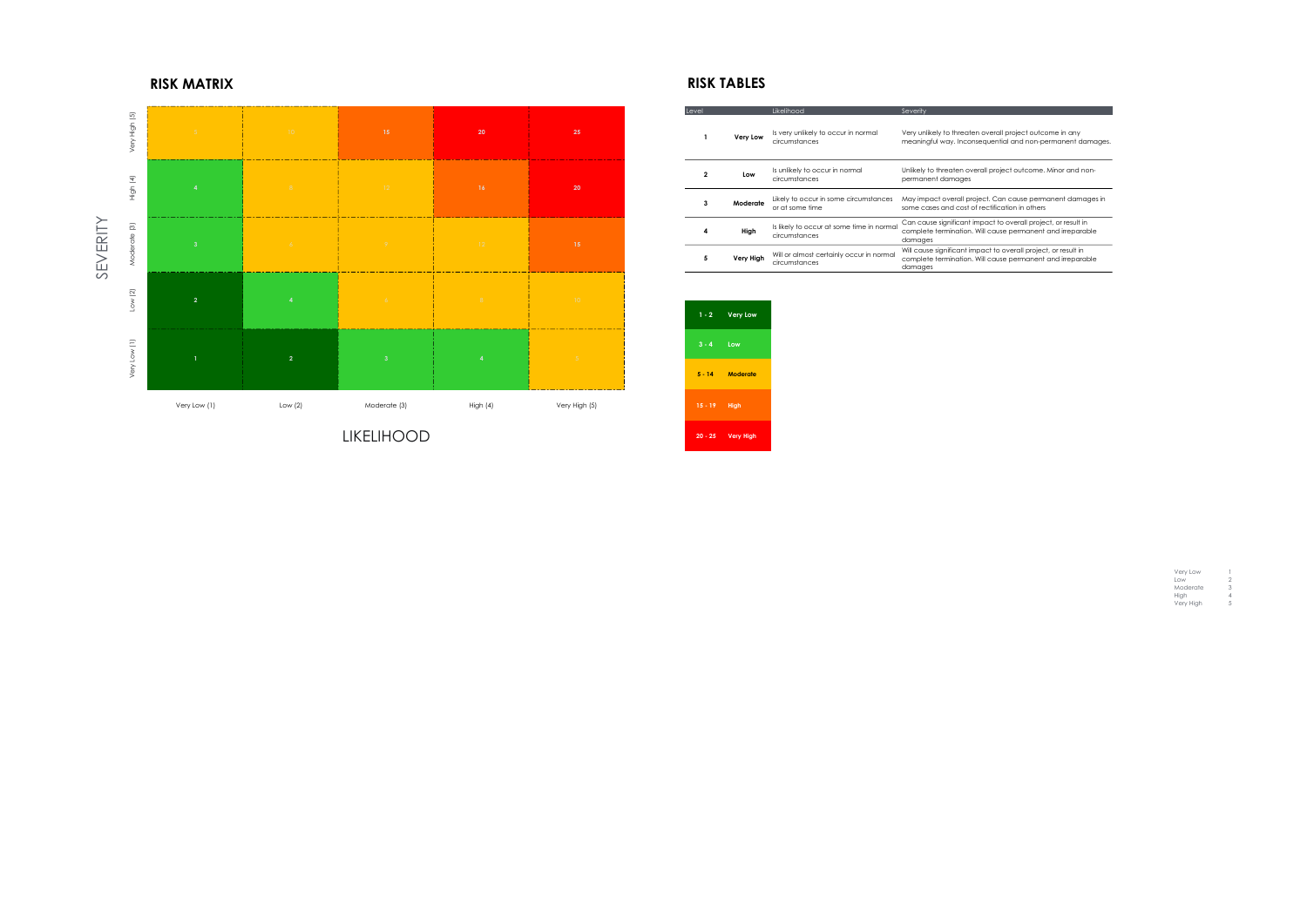|    | Level        |                  | Likelihood                                                 | Severity                                                                                                                                |
|----|--------------|------------------|------------------------------------------------------------|-----------------------------------------------------------------------------------------------------------------------------------------|
| 25 |              | Very Low         | Is very unlikely to occur in normal<br>circumstances       | Very unlikely to threaten overall project outcome in any<br>meaningful way. Inconsequential and non-permanent damages.                  |
| 20 | $\mathbf{2}$ | Low              | Is unlikely to occur in normal<br>circumstances            | Unlikely to threaten overall project outcome. Minor and non-<br>permanent damages                                                       |
|    | 3            | Moderate         | Likely to occur in some circumstances<br>or at some time   | May impact overall project. Can cause permanent damages in<br>some cases and cost of rectification in others                            |
|    | High<br>4    |                  | Is likely to occur at some time in normal<br>circumstances | Can cause significant impact to overall project, or result in<br>complete termination. Will cause permanent and irreparable<br>damages  |
| 15 | 5            | <b>Very High</b> | Will or almost certainly occur in normal<br>circumstances  | Will cause significant impact to overall project, or result in<br>complete termination. Will cause permanent and irreparable<br>damages |

|                | $1 - 2$ Very Low     |
|----------------|----------------------|
| $3 - 4$        | Low                  |
| $5 - 14$       | Moderate             |
| $15 - 19$ High |                      |
|                | 20 - 25    Very High |

| Very Low  |   |
|-----------|---|
| low       | 2 |
| Moderate  | З |
| Hiah      | 4 |
| Very High | 5 |

# RISK MATRIX **RISK TABLES**



LIKELIHOOD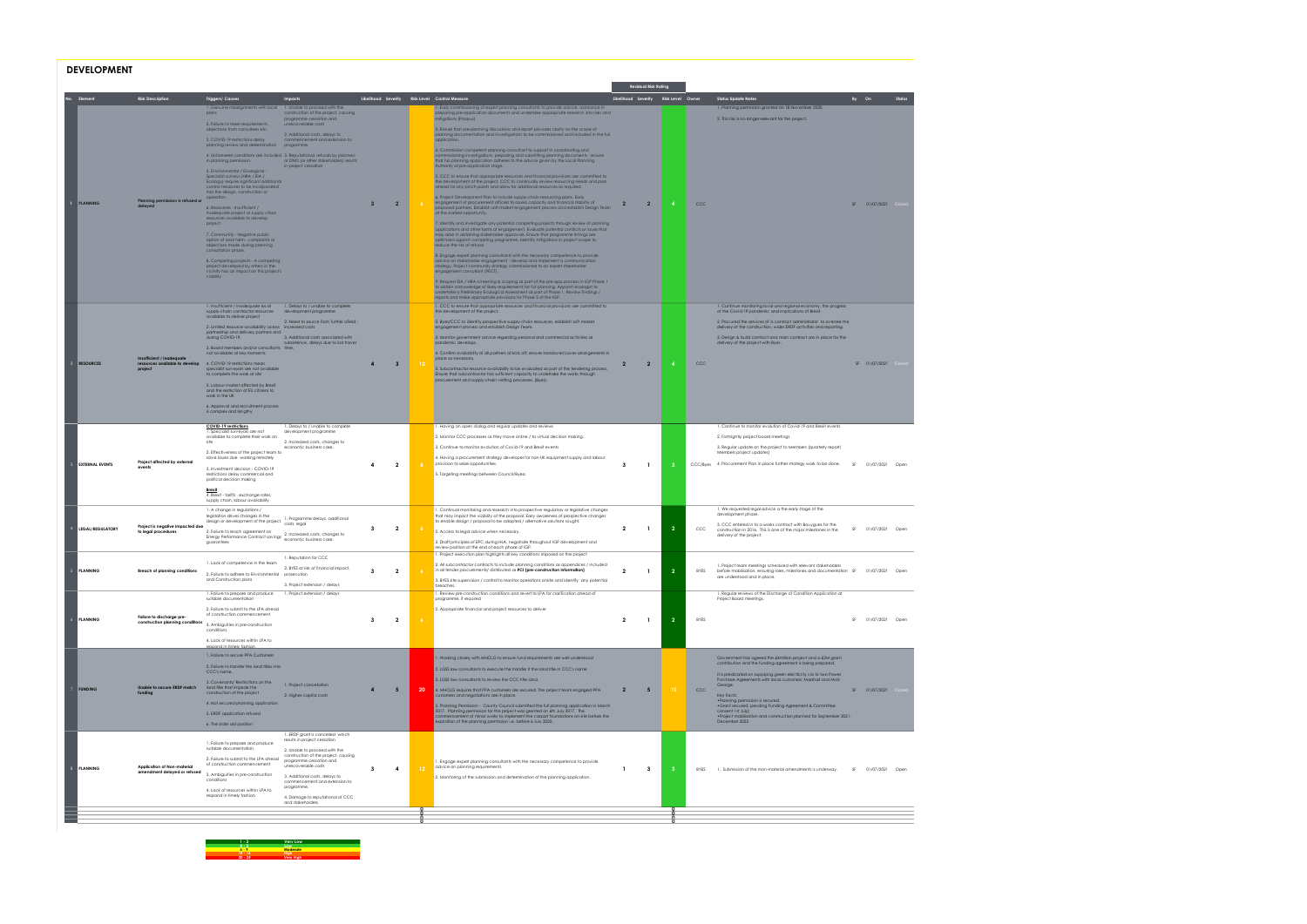### DEVELOPMENT

|      |                         |                                                                                                                                                           |                                                                                                                                                                                          |                                                                                                                          |                                                |                                                                                                                                                                                                                                                                           |                                                                                                                                                                                                                                                                                                                                                                                          |                                      | <b>Residual Risk Rating</b> |                |             |                                                                                                                                           |                 |                    |
|------|-------------------------|-----------------------------------------------------------------------------------------------------------------------------------------------------------|------------------------------------------------------------------------------------------------------------------------------------------------------------------------------------------|--------------------------------------------------------------------------------------------------------------------------|------------------------------------------------|---------------------------------------------------------------------------------------------------------------------------------------------------------------------------------------------------------------------------------------------------------------------------|------------------------------------------------------------------------------------------------------------------------------------------------------------------------------------------------------------------------------------------------------------------------------------------------------------------------------------------------------------------------------------------|--------------------------------------|-----------------------------|----------------|-------------|-------------------------------------------------------------------------------------------------------------------------------------------|-----------------|--------------------|
|      | Element                 | <b>Risk Description</b>                                                                                                                                   | <b>Triggers/Causes</b>                                                                                                                                                                   | Impacts                                                                                                                  | Likelihood Severity Risk Level Control Measure |                                                                                                                                                                                                                                                                           |                                                                                                                                                                                                                                                                                                                                                                                          | Likelihood Severity Risk Level Owner |                             |                |             | <b>Status Update Notes</b>                                                                                                                | By On           | Status             |
|      |                         |                                                                                                                                                           | 1. Genuine misalignments with local 1. Unable to proceed with the<br>plans<br>2. Failure to meet requirements,<br>objections from consultees etc.                                        | construction of the project, causing<br>programme cessation and<br>unrecoverable costs<br>2. Additional costs, delays to |                                                |                                                                                                                                                                                                                                                                           | I. Early commissioning of expert planning consultants to provide advice, assistance in<br>preparing pre-application documents and undertake appropriate research into risks and<br>mitigations (Prospus)<br>3. Ensure that pre-planning discussions and report provides clarity on the scope of<br>planning documentation and investigations to be commissioned and included in the full |                                      |                             |                |             | 1. Planning permission granted on 18 November 2020.<br>2. This risk is no longer relevant for the project.                                |                 |                    |
|      |                         |                                                                                                                                                           | 3. COVID-19 restrictions delay<br>planning review and determination programme.<br>4. Unforeseen conditions are included 3. Reputational, refusals by planners<br>in planning permission. | commencement and extension to<br>or DNO for other stakeholders) results                                                  |                                                |                                                                                                                                                                                                                                                                           | application.<br>4. Commission competent planning consultant to support in coordinating and<br>commissioning investigations, preparing and submitting planning documents - ensure<br>that full planning application adheres to the advice given by the Local Planning                                                                                                                     |                                      |                             |                |             |                                                                                                                                           |                 |                    |
|      |                         |                                                                                                                                                           | 5. Environmental / Ecological -<br>Specialist surveys (HRA / EIA /<br>Ecology) require significant additional<br>control measures to be incorporated                                     | in project cessation                                                                                                     |                                                |                                                                                                                                                                                                                                                                           | Authority at pre-application stage.<br>5. CCC to ensure that appropriate resources and financial provisions are committed to<br>the development of the project. CCC to continually review resourcing needs and plan<br>ahead for any pinch points and allow for additional resources as required.                                                                                        |                                      |                             |                |             |                                                                                                                                           |                 |                    |
|      | <b>PLANNING</b>         | Planning permission is refused or<br>delaved                                                                                                              | into the design, construction or<br>operation.<br>6. Resources - Insufficient /<br>inadequate project or supply chain                                                                    |                                                                                                                          | $\overline{2}$<br>$\mathbf{3}$                 | - 6 -                                                                                                                                                                                                                                                                     | 6. Project Development Plan to include supply-chain resourcing plans. Early<br>engagement of procurement officers to assess capacity and financial stability of<br>proposed partners. Establish soft market engagement process and establish Design Team<br>at the earliest opportunity.                                                                                                 | $\overline{2}$                       | $\overline{2}$              | $\mathbf{A}$   | CCC         |                                                                                                                                           |                 | SF 01/07/2021 Clos |
|      |                         |                                                                                                                                                           | resources available to develop<br>project<br>7. Community - Negative public<br>option of solar farm - complaints or<br>objections made during planning                                   |                                                                                                                          |                                                |                                                                                                                                                                                                                                                                           | 7. Identify and investigate any potential competing projects through review of planning<br>applications and other forms of engagement. Evaluate potential conflicts or issues that<br>may arise in obtaining stakeholder approvals. Ensure that programme timings are<br>optimised against competing programme. Identify mitigations in project scope to<br>reduce the risk of refusal.  |                                      |                             |                |             |                                                                                                                                           |                 |                    |
|      |                         | consultation phase.<br>8. Competing projects - A competing<br>project developed by others in the<br>vicinity has an impact on this project's<br>viability |                                                                                                                                                                                          |                                                                                                                          |                                                | 8. Engage expert planning consultants with the necessary competence to provide<br>advice on stakeholder engagement - develop and implement a communication<br>strategy. Project community strategy commissioned to an expert stakeholder<br>engagement consultant (PECT). |                                                                                                                                                                                                                                                                                                                                                                                          |                                      |                             |                |             |                                                                                                                                           |                 |                    |
|      |                         |                                                                                                                                                           |                                                                                                                                                                                          |                                                                                                                          |                                                |                                                                                                                                                                                                                                                                           | 9. Request EIA / HRA screening & scoping as part of the pre-app process in IGP Phase 1<br>to obtain a knowledge of likely requirements for full planning. Appoint ecologist to<br>undertake a Preliminary Ecological Assessment as part of Phase 1. Review findings /<br>reports and make appropriate provisions for Phase 2 of the IGP.                                                 |                                      |                             |                |             |                                                                                                                                           |                 |                    |
|      |                         |                                                                                                                                                           | 1. Insufficient / inadequate local<br>supply-chain contractor resources<br>available to deliver project                                                                                  | 1. Delays to / unable to complete<br>development programme                                                               |                                                |                                                                                                                                                                                                                                                                           | 1. CCC to ensure that appropriate resources and financial provisions are committed to<br>the development of the project.                                                                                                                                                                                                                                                                 |                                      |                             |                |             | 1. Continue monitoring local and regional economy, the progress<br>of the Covid-19 pandemic and implications of Brexit.                   |                 |                    |
|      |                         |                                                                                                                                                           | 2. Limited resource availability across increased costs                                                                                                                                  | 2. Need to source from further afield                                                                                    |                                                |                                                                                                                                                                                                                                                                           | 2. Byes/CCC to identify prospective supply-chain resources, establish soft market<br>engagement process and establish Desian Team.                                                                                                                                                                                                                                                       |                                      |                             |                |             | 2. Procured the services of a contract administrator to oversee the<br>delivery of the construction, wider ERDF activities and reporting. |                 |                    |
|      |                         |                                                                                                                                                           | partnership and delivery partners and<br>during COVID-19.                                                                                                                                | 3. Additional costs associated with<br>subsistence, delays due to lost travel                                            |                                                |                                                                                                                                                                                                                                                                           | 3. Monitor government advice regarding personal and commercial activities as                                                                                                                                                                                                                                                                                                             |                                      |                             |                |             | 3. Design & build contract and main contract are in place for the                                                                         |                 |                    |
|      |                         |                                                                                                                                                           | 3. Board members and/or consultants time<br>not available at key moments                                                                                                                 |                                                                                                                          |                                                |                                                                                                                                                                                                                                                                           | pandemic develops.<br>4. Confirm availability of all partners at kick off; ensure handover/cover arrangements in                                                                                                                                                                                                                                                                         |                                      |                             |                |             | delivery of the project with Byes.                                                                                                        |                 |                    |
|      | 2 RESOURCES             | Insufficient / inadeauai<br>resources available to develop                                                                                                | 4. COVID-19 restrictions mean                                                                                                                                                            |                                                                                                                          | $\mathbf{3}$                                   | 12                                                                                                                                                                                                                                                                        | place as necessary.                                                                                                                                                                                                                                                                                                                                                                      | $\overline{2}$                       | $\overline{2}$              | $\mathbf{A}$   | CCC         |                                                                                                                                           | SF 01/07/2021 C |                    |
|      |                         | project                                                                                                                                                   | specialist surveyors are not available<br>to complete the work at site<br>5. Labour market affected by Brexit                                                                            |                                                                                                                          |                                                |                                                                                                                                                                                                                                                                           | 5. Subcontractor resource availability to be evaluated as part of the tendering process.<br>Ensure that subcontractor has sufficient capacity to undertake the works through<br>procurement and supply-chain vetting processes. (Byes).                                                                                                                                                  |                                      |                             |                |             |                                                                                                                                           |                 |                    |
|      |                         |                                                                                                                                                           | and the restriction of EU citizens to<br>work in the UK                                                                                                                                  |                                                                                                                          |                                                |                                                                                                                                                                                                                                                                           |                                                                                                                                                                                                                                                                                                                                                                                          |                                      |                             |                |             |                                                                                                                                           |                 |                    |
|      |                         |                                                                                                                                                           | 6. Approval and recruitment process<br>is complex and lengthy                                                                                                                            | 1. Delays to / unable to complete                                                                                        |                                                |                                                                                                                                                                                                                                                                           |                                                                                                                                                                                                                                                                                                                                                                                          |                                      |                             |                |             | 1. Continue to monitor evolution of Covid-19 and Brexit events                                                                            |                 |                    |
|      |                         |                                                                                                                                                           | COVID-19 restrictions<br>1. Specialist surveyors are not<br>available to complete their work on                                                                                          | development programme                                                                                                    |                                                |                                                                                                                                                                                                                                                                           | 1. Having an open dialog and regular updates and reviews<br>2. Monitor CCC processes as they move online / to virtual decision making.                                                                                                                                                                                                                                                   |                                      |                             |                |             | 2. Fortnightly project board meetings                                                                                                     |                 |                    |
|      |                         |                                                                                                                                                           | site                                                                                                                                                                                     | 2. Increased costs, changes to<br>economic business case.                                                                |                                                |                                                                                                                                                                                                                                                                           | 3. Continue to monitor evolution of Covid-19 and Brexit events                                                                                                                                                                                                                                                                                                                           |                                      |                             |                |             | 3. Regular update on the project to Members (quarterly report/                                                                            |                 |                    |
|      | <b>EXTERNAL EVENTS</b>  | Project affected by external                                                                                                                              | 2. Effectiveness of the project team to<br>solve issues due working remotely                                                                                                             |                                                                                                                          |                                                |                                                                                                                                                                                                                                                                           | 4. Having a procurement strategy developer for non-UK equipment supply and labour<br>provision to seize opportunities.                                                                                                                                                                                                                                                                   |                                      |                             |                |             | Members project updates)<br>4. Procurement Plan in place further strategy work to be done.                                                |                 |                    |
|      |                         |                                                                                                                                                           | 3. Investment decision - COVID-19<br>restrictions delay commercial and<br>political decision making                                                                                      |                                                                                                                          | $\overline{2}$<br>4                            | 8                                                                                                                                                                                                                                                                         | 5. Targeting meetings between Council/Byess                                                                                                                                                                                                                                                                                                                                              | $\mathbf{3}$                         | $\overline{1}$              | 3 <sup>2</sup> | CCC/Byes    |                                                                                                                                           |                 | SF 01/07/2021 Open |
|      |                         |                                                                                                                                                           | <b>Brexit</b><br>4. Brexit - tariffs, exchange rates,<br>supply chain, labour availability                                                                                               |                                                                                                                          |                                                |                                                                                                                                                                                                                                                                           |                                                                                                                                                                                                                                                                                                                                                                                          |                                      |                             |                |             |                                                                                                                                           |                 |                    |
|      |                         |                                                                                                                                                           | 1. A change in regulations /<br>legislation drives changes in the                                                                                                                        | 1. Programme delays, additional                                                                                          |                                                |                                                                                                                                                                                                                                                                           | 1. Continual monitoring and research into prospective regulatory or legislative changes<br>that may impact the viability of the proposal. Early awareness of prospective changes                                                                                                                                                                                                         |                                      |                             |                |             | 1. We requested legal advice a the early stage of the<br>development phase.                                                               |                 |                    |
|      | <b>LEGAL/REGULATORY</b> | Project is negative impacted due<br>to legal procedures                                                                                                   | registerion anyone changes of the project. In magitarini<br>2. Failure to reach agreement on                                                                                             |                                                                                                                          | $\overline{2}$<br>3                            |                                                                                                                                                                                                                                                                           | to enable design / proposal to be adapted / alternative solutions sought.<br>2. Access to legal advice when necessary.                                                                                                                                                                                                                                                                   | $\overline{2}$                       | $\mathbf{1}$                | $\overline{2}$ | CCC         | 3. CCC entered in to a works contract with Bouygues for the<br>construction in 2016, This is one of the major milestones in the           |                 | SF 01/07/2021 Open |
|      |                         |                                                                                                                                                           | 2. Failure to reach agreement on<br>Energy Performance Contract savings 2. Increased costs, changes to<br>economic business case.<br>guarantees                                          |                                                                                                                          |                                                |                                                                                                                                                                                                                                                                           | 3. Draft principles of EPC during HLA, negotiate throughout IGP development and<br>review position at the end of each phase of IGP.                                                                                                                                                                                                                                                      |                                      |                             |                |             | delivery of the project.                                                                                                                  |                 |                    |
|      |                         |                                                                                                                                                           | 1. Lack of competence in the team                                                                                                                                                        | 1. Reputation for CCC<br>2. BYES at risk of financial impact,                                                            |                                                |                                                                                                                                                                                                                                                                           | 1. Project execution plan highlights all key conditions imposed on the project<br>2. All subcontractor contracts to include planning conditions as appendices / included<br>in all tender procurements/ distributed as PCI (pre-construction inform                                                                                                                                      |                                      |                             |                |             | 1. Project team meetings scheduled with relevant stakeholders                                                                             |                 |                    |
|      |                         |                                                                                                                                                           | 2. Failure to adhere to Environmental prosecution<br>and Construction plans                                                                                                              | 3. Project extension / delays                                                                                            |                                                |                                                                                                                                                                                                                                                                           | 3. BYES site supervision / control to monitor operations onsite and identify any potential                                                                                                                                                                                                                                                                                               |                                      |                             |                | <b>BYES</b> | before mobilisation, ensuring roles, milestones and accumentation<br>are understood and in place,                                         |                 | SF 01/07/2021 Open |
|      |                         |                                                                                                                                                           | 1. Failure to prepare and produce 1. Project extension / delays<br>suitable documentation                                                                                                |                                                                                                                          |                                                |                                                                                                                                                                                                                                                                           | breaches.<br>1. Review pre-construction conditions and revert to LPA for clarification ahead of<br>programme, if required                                                                                                                                                                                                                                                                |                                      |                             |                |             | 1. Regular reviews of the Discharge of Condition Application at<br>Project Board meetings.                                                |                 |                    |
|      |                         |                                                                                                                                                           | 2. Failure to submit to the LPA ahead                                                                                                                                                    |                                                                                                                          |                                                |                                                                                                                                                                                                                                                                           | 2. Appropriate financial and project resources to deliver                                                                                                                                                                                                                                                                                                                                |                                      |                             |                |             |                                                                                                                                           |                 |                    |
| $-6$ | <b>PLANNING</b>         | Failure to discharge pre-<br>construction planning conditions                                                                                             | of construction commencement<br>3. Ambiguities in pre-construction                                                                                                                       |                                                                                                                          | $\overline{2}$<br>$\mathbf{3}$                 | $\overline{6}$                                                                                                                                                                                                                                                            |                                                                                                                                                                                                                                                                                                                                                                                          | $\overline{2}$                       | $\mathbf{1}$                | $\overline{2}$ | <b>BYES</b> |                                                                                                                                           |                 | SF 01/07/2021 Open |
|      |                         |                                                                                                                                                           | conditions<br>4. Lack of resources within LPA to<br>respond in timely fashior                                                                                                            |                                                                                                                          |                                                |                                                                                                                                                                                                                                                                           |                                                                                                                                                                                                                                                                                                                                                                                          |                                      |                             |                |             |                                                                                                                                           |                 |                    |
|      |                         |                                                                                                                                                           | 1. Failure to secure PPA Customers                                                                                                                                                       |                                                                                                                          |                                                |                                                                                                                                                                                                                                                                           | . Working closely with MHCLG to ensure fund requirements are well understood                                                                                                                                                                                                                                                                                                             |                                      |                             |                |             | Government has agreed the £4million project and a £2M grant                                                                               |                 |                    |
|      |                         |                                                                                                                                                           | 2. Failure to transfer the land titles into<br>CCC's name.                                                                                                                               |                                                                                                                          |                                                |                                                                                                                                                                                                                                                                           | 2. LGSS law consultants to execute the transfer if the land title in CCC's name                                                                                                                                                                                                                                                                                                          |                                      |                             |                |             | contribution and the funding agreement is being prepared.<br>It is predicated on supplying green electricity via to two Power             |                 |                    |
|      |                         | Unable to secure ERDF match                                                                                                                               | 3. Covenants/ Restrictions on the<br>land title that impede the                                                                                                                          | 1. Project cancellation                                                                                                  |                                                |                                                                                                                                                                                                                                                                           | 3. LGSS law consultants to review the CCC title land.                                                                                                                                                                                                                                                                                                                                    |                                      |                             |                |             | Purchase Agreements with local customers: Marshall and Mick<br>George.                                                                    |                 |                    |
|      | 7 FUNDING               |                                                                                                                                                           | construction of the project                                                                                                                                                              | 2. Higher capital costs                                                                                                  | 5 <sub>5</sub>                                 | 20                                                                                                                                                                                                                                                                        | 4. MHCLG requires that PPA customers are secured. The project team engaged PPA<br>customers and negotiations are in place.                                                                                                                                                                                                                                                               | -2                                   | 5                           | $10-10$        | CCC         | Key Facts:<br>. Planning permission is secured.                                                                                           | SF 01/07/2021 0 |                    |
|      |                         |                                                                                                                                                           | 4. Not secured planning application<br>5. ERDF application refused                                                                                                                       |                                                                                                                          |                                                |                                                                                                                                                                                                                                                                           | 5. Planning Permission - County Council submitted the full planning application in March<br>2017. Planning permission for the project was granted on 6th July 2017. The                                                                                                                                                                                                                  |                                      |                             |                |             | .Grant secured. pending Funding Agreement & Committee<br>consent 1st July)                                                                |                 |                    |
|      |                         |                                                                                                                                                           | 6. The state aid position                                                                                                                                                                |                                                                                                                          |                                                |                                                                                                                                                                                                                                                                           | commencement of minor works to implement the carport foundations on-site before the<br>expiration of the planning permission i.e. before 6 July 2020.                                                                                                                                                                                                                                    |                                      |                             |                |             | . Project mobilisation and construction planned for September 2021-<br>December 2022                                                      |                 |                    |
|      |                         |                                                                                                                                                           | 1. Failure to prepare and produce                                                                                                                                                        | 1. ERDF grant is cancelled which<br>results in project cessation                                                         |                                                |                                                                                                                                                                                                                                                                           |                                                                                                                                                                                                                                                                                                                                                                                          |                                      |                             |                |             |                                                                                                                                           |                 |                    |
|      | <b>PLANNING</b>         |                                                                                                                                                           | suitable documentation<br>2. Failure to submit to the LPA ahead                                                                                                                          | 2. Unable to proceed with the<br>construction of the project, causing<br>programme cessation and                         |                                                |                                                                                                                                                                                                                                                                           |                                                                                                                                                                                                                                                                                                                                                                                          |                                      |                             |                |             |                                                                                                                                           |                 |                    |
|      |                         | Application of Non-material<br>amendment delayed or refused                                                                                               | of construction commencement                                                                                                                                                             | unrecoverable costs                                                                                                      | $\mathbf{3}$<br>$\overline{\mathbf{A}}$        | 12                                                                                                                                                                                                                                                                        | I. Engage expert planning consultants with the necessary competence to provide<br>advice on planning requirements.                                                                                                                                                                                                                                                                       | $\mathbf{1}$                         | $\mathbf{3}$                | 3 <sup>2</sup> | <b>BYES</b> | 1. Submission of the mon-material amendments is underway.                                                                                 |                 | SF 01/07/2021 Open |
|      |                         |                                                                                                                                                           | 3. Ambiguities in pre-construction<br>conditions                                                                                                                                         | 3. Additional costs, delays to<br>commencement and extension to<br>programme.                                            |                                                |                                                                                                                                                                                                                                                                           | 2. Monitoring of the submission and determination of the planning application.                                                                                                                                                                                                                                                                                                           |                                      |                             |                |             |                                                                                                                                           |                 |                    |
|      |                         |                                                                                                                                                           | 4. Lack of resources within LPA to<br>respond in timely fashion                                                                                                                          | 4. Damage to reputational of CCC<br>and stakeholders.                                                                    |                                                |                                                                                                                                                                                                                                                                           |                                                                                                                                                                                                                                                                                                                                                                                          |                                      |                             |                |             |                                                                                                                                           |                 |                    |
|      |                         |                                                                                                                                                           |                                                                                                                                                                                          |                                                                                                                          |                                                |                                                                                                                                                                                                                                                                           |                                                                                                                                                                                                                                                                                                                                                                                          |                                      |                             |                |             |                                                                                                                                           |                 |                    |
|      |                         |                                                                                                                                                           |                                                                                                                                                                                          |                                                                                                                          |                                                |                                                                                                                                                                                                                                                                           |                                                                                                                                                                                                                                                                                                                                                                                          |                                      |                             |                |             |                                                                                                                                           |                 |                    |

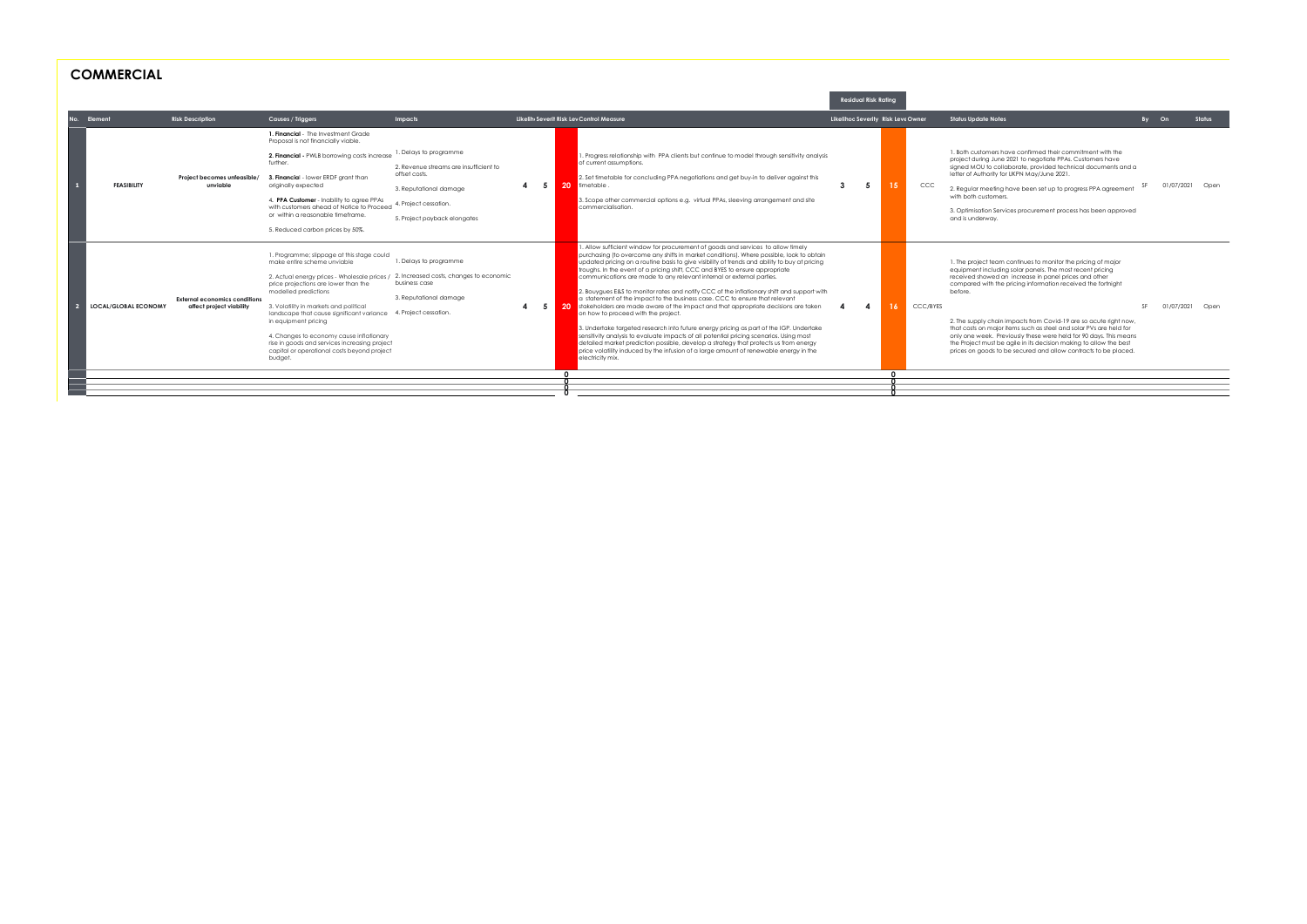| <b>COMMERCIAL</b> |  |
|-------------------|--|
|-------------------|--|

|                             |                                                                  |                                                                                                                                                                                                                                                                                                                                                                                                                                                               |                                                                                                                                                                      |     |                                                                                                                                                                                                                                                                                                                                                                                                                                                                                                                                                                                                                                                                                                                                                                                                                                                                                                                                                                                                                                                                                                                                                   |   | <b>Residual Risk Rating</b> |                                    |                                                                                                                                                                                                                                                                                                                                                                                                                                                                                                                                                                                                                                      |       |               |
|-----------------------------|------------------------------------------------------------------|---------------------------------------------------------------------------------------------------------------------------------------------------------------------------------------------------------------------------------------------------------------------------------------------------------------------------------------------------------------------------------------------------------------------------------------------------------------|----------------------------------------------------------------------------------------------------------------------------------------------------------------------|-----|---------------------------------------------------------------------------------------------------------------------------------------------------------------------------------------------------------------------------------------------------------------------------------------------------------------------------------------------------------------------------------------------------------------------------------------------------------------------------------------------------------------------------------------------------------------------------------------------------------------------------------------------------------------------------------------------------------------------------------------------------------------------------------------------------------------------------------------------------------------------------------------------------------------------------------------------------------------------------------------------------------------------------------------------------------------------------------------------------------------------------------------------------|---|-----------------------------|------------------------------------|--------------------------------------------------------------------------------------------------------------------------------------------------------------------------------------------------------------------------------------------------------------------------------------------------------------------------------------------------------------------------------------------------------------------------------------------------------------------------------------------------------------------------------------------------------------------------------------------------------------------------------------|-------|---------------|
| Element<br>No.              | <b>Risk Description</b>                                          | Causes / Triggers                                                                                                                                                                                                                                                                                                                                                                                                                                             | Impacts                                                                                                                                                              |     | Likelih Severit Risk Lev Control Measure                                                                                                                                                                                                                                                                                                                                                                                                                                                                                                                                                                                                                                                                                                                                                                                                                                                                                                                                                                                                                                                                                                          |   |                             | Likelihoo Severity Risk Leve Owner | <b>Status Update Notes</b>                                                                                                                                                                                                                                                                                                                                                                                                                                                                                                                                                                                                           | By On |               |
| <b>FEASIBILITY</b>          | Project becomes unfeasible/<br>unviable                          | 1. Financial - The Investment Grade<br>Proposal is not financially viable.<br>2. Financial - PWLB borrowing costs increase<br>further.<br>3. Financial - lower ERDF arant than<br>originally expected<br>4. PPA Customer - Inability to agree PPAs<br>with customers ahead of Notice to Proceed<br>or within a reasonable timeframe.<br>5. Reduced carbon prices by 50%.                                                                                      | 1. Delays to programme<br>2. Revenue streams are insufficient to<br>offset costs.<br>3. Reputational damage<br>4. Project cessation.<br>5. Project payback elongates | - 5 | 1. Progress relationship with PPA clients but continue to model through sensitivity analysis<br>of current assumptions.<br>2. Set timetable for concluding PPA negotiations and get buy-in to deliver against this<br>20<br><b>limetable</b><br>3. Scope other commercial options e.g. virtual PPAs, sleeving arrangement and site<br>commercialisation.                                                                                                                                                                                                                                                                                                                                                                                                                                                                                                                                                                                                                                                                                                                                                                                          | 3 | -5                          | $15-15$<br>CCC                     | 1. Both customers have confirmed their commitment with the<br>project during June 2021 to negotiate PPAs. Customers have<br>signed MOU to collaborate, provided technical documents and a<br>letter of Authority for UKPN May/June 2021.<br>2. Regular meeting have been set up to progress PPA agreement<br>with both customers.<br>3. Optimisation Services procurement process has been approved<br>and is underway.                                                                                                                                                                                                              |       | 01/07/2021 Or |
| <b>LOCAL/GLOBAL ECONOMY</b> | <b>External economics conditions</b><br>affect project viability | 1. Programme; slippage at this stage could<br>make entire scheme unviable<br>2. Actual energy prices - Wholesale prices<br>price projections are lower than the<br>modelled predictions<br>3. Volatility in markets and political<br>landscape that cause significant variance<br>in equipment pricing<br>4. Changes to economy cause inflationary<br>rise in goods and services increasing project<br>capital or operational costs beyond project<br>budget. | 1. Delays to programme<br>2. Increased costs, changes to economic<br>business case<br>3. Reputational damage<br>4. Proiect cessation.                                | 5 1 | . Allow sufficient window for procurement of goods and services to allow timely<br>purchasing (to overcome any shifts in market conditions). Where possible, look to obtain<br>updated pricing on a routine basis to give visibility of trends and ability to buy at pricing<br>troughs. In the event of a pricing shift, CCC and BYES to ensure appropriate<br>communications are made to any relevant internal or external parties.<br>2. Bouygues E&S to monitor rates and notify CCC of the inflationary shift and support with<br>a statement of the impact to the business case. CCC to ensure that relevant<br>-20<br>stakeholders are made aware of the impact and that appropriate decisions are taken<br>on how to proceed with the project.<br>3. Undertake targeted research into future energy pricing as part of the IGP. Undertake<br>sensitivity analysis to evaluate impacts of all potential pricing scenarios. Using most<br>detailed market prediction possible, develop a strategy that protects us from energy<br>price volatility induced by the infusion of a large amount of renewable energy in the<br>electricity mix. |   |                             | <b>CCC/BYES</b>                    | 1. The project team continues to monitor the pricing of major<br>equipment including solar panels. The most recent pricing<br>received showed an increase in panel prices and other<br>compared with the pricing information received the fortnight<br>before.<br><b>SE</b><br>2. The supply chain impacts from Covid-19 are so acute right now,<br>that costs on major items such as steel and solar PVs are held for<br>only one week. Previously these were held for 90 days. This means<br>the Project must be agile in its decision making to allow the best<br>prices on goods to be secured and allow contracts to be placed. |       | 01/07/2021 Op |
|                             |                                                                  |                                                                                                                                                                                                                                                                                                                                                                                                                                                               |                                                                                                                                                                      |     |                                                                                                                                                                                                                                                                                                                                                                                                                                                                                                                                                                                                                                                                                                                                                                                                                                                                                                                                                                                                                                                                                                                                                   |   |                             |                                    |                                                                                                                                                                                                                                                                                                                                                                                                                                                                                                                                                                                                                                      |       |               |

| <b>Status Update Notes</b>                                                                                                                                                                                                                                                                                                                                                                                                                                                                                                                                                                                              | By | On         | <b>Status</b> |
|-------------------------------------------------------------------------------------------------------------------------------------------------------------------------------------------------------------------------------------------------------------------------------------------------------------------------------------------------------------------------------------------------------------------------------------------------------------------------------------------------------------------------------------------------------------------------------------------------------------------------|----|------------|---------------|
| 1. Both customers have confirmed their commitment with the<br>project during June 2021 to negotiate PPAs. Customers have<br>signed MOU to collaborate, provided technical documents and a<br>letter of Authority for UKPN May/June 2021.<br>2. Regular meeting have been set up to progress PPA agreement<br>with both customers.<br>3. Optimisation Services procurement process has been approved<br>and is underway.                                                                                                                                                                                                 | SF | 01/07/2021 | Open          |
| 1. The project team continues to monitor the pricing of major<br>equipment including solar panels. The most recent pricing<br>received showed an increase in panel prices and other<br>compared with the pricing information received the fortnight<br>before.<br>2. The supply chain impacts from Covid-19 are so acute right now,<br>that costs on major items such as steel and solar PVs are held for<br>only one week. Previously these were held for 90 days. This means<br>the Project must be agile in its decision making to allow the best<br>prices on goods to be secured and allow contracts to be placed. | SF | 01/07/2021 | Open          |
|                                                                                                                                                                                                                                                                                                                                                                                                                                                                                                                                                                                                                         |    |            |               |
|                                                                                                                                                                                                                                                                                                                                                                                                                                                                                                                                                                                                                         |    |            |               |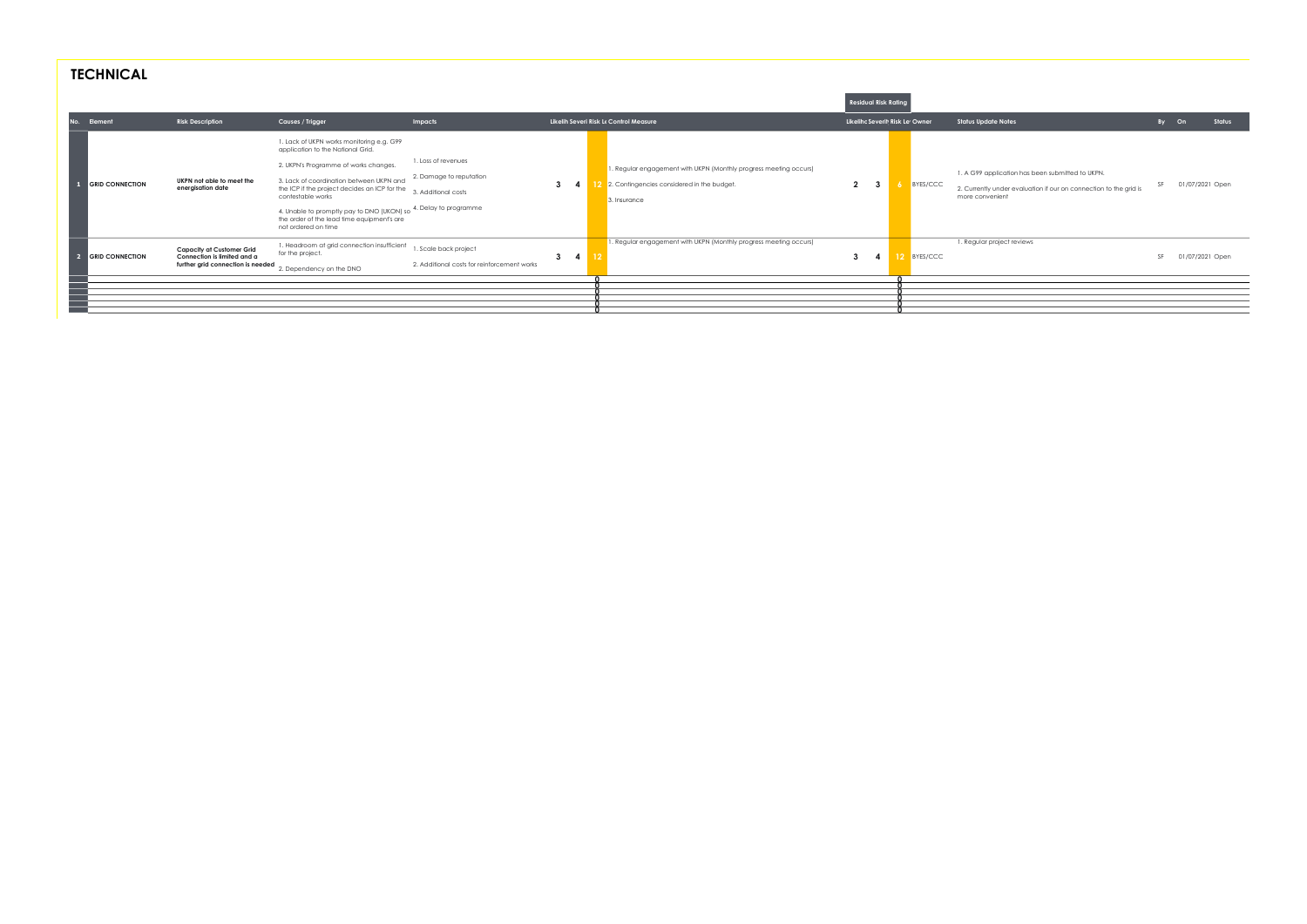| <b>TECHNICAL</b>                         |                                                                                                      |                                                                                                                                                                                                                                                                                                                                                                                                        |                                                                                  |                   |                                                                                                                                                                           |                                                      |             |                                                                                                                                                                        |             |                           |
|------------------------------------------|------------------------------------------------------------------------------------------------------|--------------------------------------------------------------------------------------------------------------------------------------------------------------------------------------------------------------------------------------------------------------------------------------------------------------------------------------------------------------------------------------------------------|----------------------------------------------------------------------------------|-------------------|---------------------------------------------------------------------------------------------------------------------------------------------------------------------------|------------------------------------------------------|-------------|------------------------------------------------------------------------------------------------------------------------------------------------------------------------|-------------|---------------------------|
|                                          |                                                                                                      |                                                                                                                                                                                                                                                                                                                                                                                                        |                                                                                  |                   |                                                                                                                                                                           | <b>Residual Risk Rating</b>                          |             |                                                                                                                                                                        |             |                           |
| Element<br>No.<br><b>GRID CONNECTION</b> | <b>Risk Description</b><br>UKPN not able to meet the<br>energisation date                            | Causes / Trigger<br>1. Lack of UKPN works monitoring e.g. G99<br>application to the National Grid.<br>2. UKPN's Programme of works changes.<br>3. Lack of coordination between UKPN and<br>the ICP if the project decides an ICP for the<br>contestable works<br>4. Unable to promptly pay to DNO (UKON) so 4. Delay to programme<br>the order of the lead time equipment's are<br>not ordered on time | Impacts<br>1. Loss of revenues<br>2. Damage to reputation<br>3. Additional costs | $3^{\circ}$       | Likelih Severi Risk Le Control Measure<br>1. Regular engagement with UKPN (Monthly progress meeting occurs)<br>2. Contingencies considered in the budget.<br>3. Insurance | Likelihc Severit Risk Le Owner<br>$2^{\circ}$<br>- 3 | BYES/CCC    | <b>Status Update Notes</b><br>1. A G99 application has been submitted to UKPN.<br>2. Currently under evaluation if our on connection to the grid is<br>more convenient | By On<br>SF | Status<br>01/07/2021 Open |
| <b>GRID CONNECTION</b>                   | <b>Capacity at Customer Grid</b><br>Connection is limited and a<br>further grid connection is needed | 1. Headroom at grid connection insufficient<br>for the project.<br>2. Dependency on the DNO                                                                                                                                                                                                                                                                                                            | 1. Scale back project<br>2. Additional costs for reinforcement works             | $3^{\circ}$<br>-4 | 1. Regular engagement with UKPN (Monthly progress meeting occurs)                                                                                                         | 3                                                    | 12 BYES/CCC | 1. Regular project reviews                                                                                                                                             | SF          | 01/07/2021 Open           |
|                                          |                                                                                                      |                                                                                                                                                                                                                                                                                                                                                                                                        |                                                                                  |                   |                                                                                                                                                                           |                                                      |             |                                                                                                                                                                        |             |                           |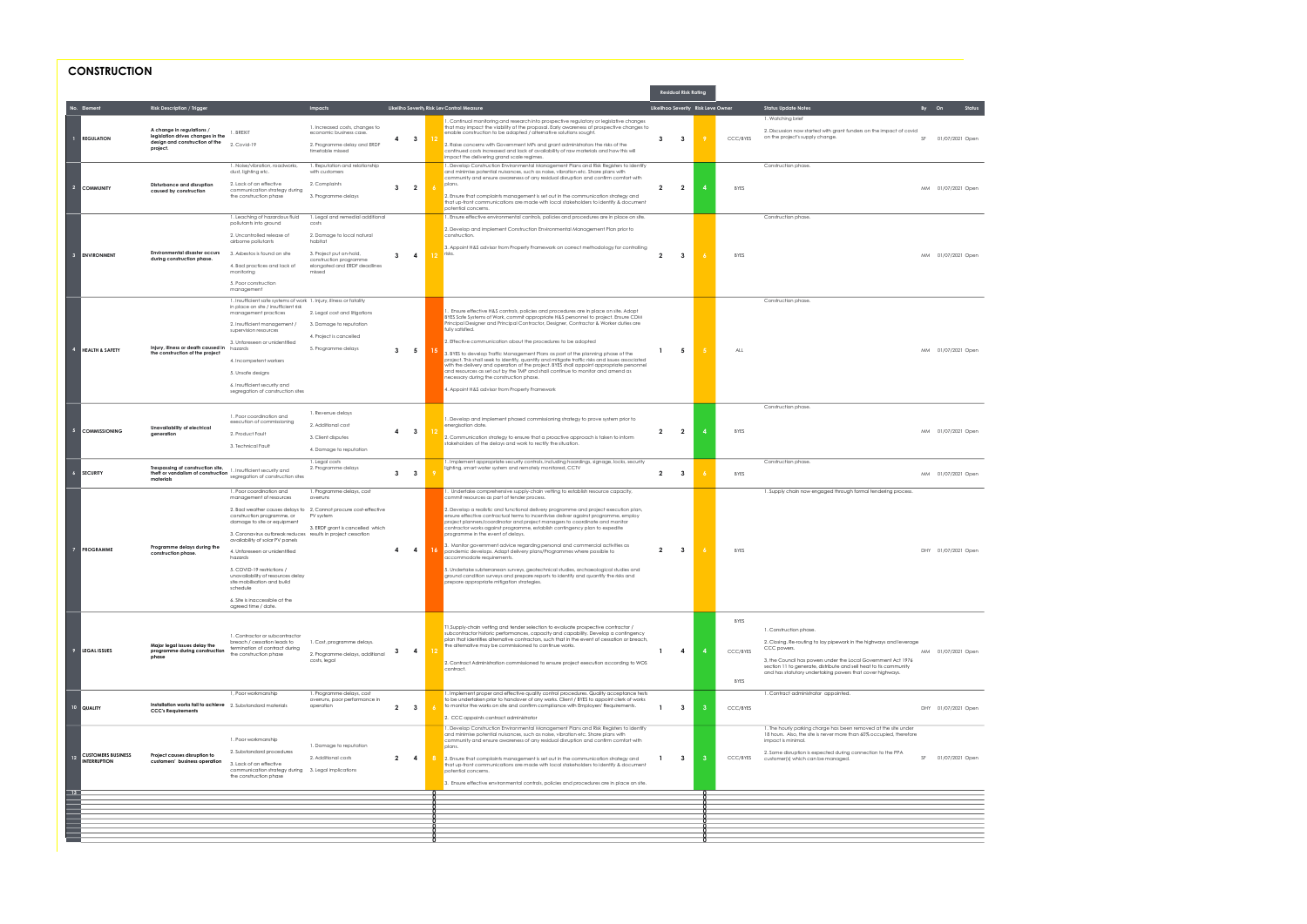# **CONSTRUCTION**

| No. Element<br><b>Risk Description / Trigger</b><br>Likeliho Severity Risk Lev Control Measure<br>Likelihoo Severity Risk Leve Owner<br><b>Status Update Notes</b><br>Impacts<br>$By$ On<br>1. Watching brief<br>1. Continual monitoring and research into prospective regulatory or legislative changes<br>1. Increased costs, changes to<br>that may impact the viability of the proposal. Early awareness of prospective changes to<br>A change in regulations /<br>2. Discussion now started with grant funders on the impact of covid<br>1. BREXIT<br>enable construction to be adapted / alternative solutions sought.<br>economic business case.<br>legislation drives changes in the<br>on the project's supply change.<br>$\overline{\mathbf{3}}$<br>$3^{\circ}$<br><b>REGULATION</b><br>4<br>$\mathbf{3}$<br>CCC/BYES<br>SF 01/07/2021 Open<br>design and construction of the<br>2. Raise concerns with Government MPs and grant administrators the risks of the<br>2. Covid-19<br>2. Programme delay and ERDF<br>project.<br>continued costs increased and lack of availability of raw materials and how this will<br>timetable missed<br>impact the delivering grand scale regimes.<br>1. Reputation and relationship<br>1. Develop Construction Environmental Management Plans and Risk Registers to identify<br>1. Noise/vibration, roadworks.<br>Construction phase.<br>dust, lighting etc.<br>with customers<br>and minimise potential nuisances, such as noise, vibration etc. Share plans with<br>community and ensure awareness of any residual disruption and confirm comfort with<br>2. Lack of an effective<br>2. Complaints<br>plans.<br>Disturbance and disruption<br>$\overline{2}$<br><b>COMMUNITY</b><br>$\overline{\mathbf{2}}$<br>$\mathbf{3}$<br>$\overline{2}$<br>$\overline{2}$<br><b>BYES</b><br>MM 01/07/2021 Open<br>communication strategy during<br>caused by construction<br>2. Ensure that complaints management is set out in the communication strategy and<br>the construction phase<br>3. Programme delays<br>that up-front communications are made with local stakeholders to identify & document<br>potential concerns.<br>1. Ensure effective environmental controls, policies and procedures are in place on site.<br>1. Leaching of hazardous fluid<br>1. Legal and remedial additional<br>Construction phase.<br>pollutants into ground<br>costs<br>2. Develop and implement Construction Environmental Management Plan prior to<br>2. Uncontrolled release of<br>2. Damage to local natural<br>construction.<br>airborne pollutants<br>habitat<br>3. Appoint H&S advisor from Property Framework on correct methodology for controlling<br><b>Environmental disaster occurs</b><br>3. Asbestos is found on site<br>3. Project put on-hold,<br>$\overline{12}$ risks.<br>$\mathbf{3}$<br><b>ENVIRONMENT</b><br>$\mathbf{3}$<br>$\overline{4}$<br>$\overline{2}$<br>$\mathbf{3}$<br><b>BYES</b><br>MM 01/07/2021 Open<br>during construction phase.<br>construction programme<br>4. Bad practices and lack of<br>elongated and ERDF deadlines<br>monitoring<br>missed<br>5. Poor construction<br>management<br>1. Insufficient safe systems of work 1. Injury, illness or fatality<br>Construction phase.<br>in place on site / insufficient risk<br>. Ensure effective H&S controls, policies and procedures are in place on site. Adopt<br>2. Legal cost and litigations<br>management practices<br>BYES Safe Systems of Work, commit appropriate H&S personnel to project. Ensure CDM<br>Principal Designer and Principal Contractor, Designer, Contractor & Worker duties are<br>2. Insufficient management /<br>3. Damage to reputation<br>fully satisfied.<br>supervision resources<br>4. Project is cancelled<br>2. Effective communication about the procedures to be adopted<br>3. Unforeseen or unidentified<br>Injury, illness or death caused in<br>hazards<br>5. Programme delays<br><b>HEALTH &amp; SAFETY</b><br>$3 \quad 5$<br>5<br>ALL<br>MM 01/07/2021 Open<br>-1.<br>3. BYES to develop Traffic Management Plans as part of the planning phase of the<br>the construction of the project<br>project. This shall seek to identify, quantify and mitigate traffic risks and issues associated<br>4. Incompetent workers<br>with the delivery and operation of the project. BYES shall appoint appropriate personnel<br>and resources as set out by the TMP and shall continue to monitor and amend as<br>5. Unsafe designs<br>necessary during the construction phase.<br>6. Insufficient security and<br>4. Appoint H&S advisor from Property Framework<br>segregation of construction sites<br>Construction phase.<br>1. Revenue delays<br>1. Poor coordination and<br>1. Develop and implement phased commissioning strategy to prove system prior to<br>execution of commissioning<br>2. Additional cost<br>energisation date.<br>Unavailability of electrical<br>COMMISSIONING<br>$\overline{\mathbf{3}}$<br>$\overline{2}$<br>$\overline{2}$<br><b>BYES</b><br>4<br>4<br>MM 01/07/2021 Open<br>aeneration<br>2. Product Fault<br>3. Client disputes<br>2. Communication strategy to ensure that a proactive approach is taken to inform<br>stakeholders of the delays and work to rectify the situation.<br>3. Technical Fault<br>4. Damage to reputation<br>1. Implement appropriate security controls, including hoardings, signage, locks, security<br>Construction phase.<br>1. Legal costs<br>Trespassing of construction site,<br>2. Programme delays<br>lighting, smart water system and remotely monitored, CCTV<br>1. Insufficient security and<br><b>SECURITY</b><br>theft or vandalism of construction<br>$3 \quad 3$<br>$\overline{2}$<br><b>BYES</b><br>MM 01/07/2021 Open<br>$\overline{\mathbf{3}}$<br>segregation of construction sites<br>materials<br>1. Undertake comprehensive supply-chain vetting to establish resource capacity,<br>1. Poor coordination and<br>1. Programme delays, cost<br>1. Supply chain now engaged through formal tendering process.<br>management of resources<br>commit resources as part of tender process.<br>overruns<br>2. Bad weather causes delays to 2, Cannot procure cost-effective<br>2. Develop a realistic and functional delivery programme and project execution plan,<br>construction programme, or<br>PV system<br>ensure effective contractual terms to incentivise deliver against programme, employ<br>project planners/coordinator and project managers to coordinate and monitor<br>damage to site or equipment<br>3. ERDF grant is cancelled which<br>contractor works against programme, establish contingency plan to expedite<br>3. Coronavirus outbreak reduces results in project cessation<br>programme in the event of delays.<br>availability of solar PV panels<br>3. Monitor government advice regarding personal and commercial activities as<br>Programme delays during the<br><b>PROGRAMME</b><br>$\overline{7}$<br>$\overline{2}$<br>$\mathbf{3}$<br>4<br>$\overline{4}$<br><b>BYES</b><br>DHY 01/07/2021 Open<br>4. Unforeseen or unidentified<br>pandemic develops. Adapt delivery plans/Programmes where possible to<br>construction phase.<br>accommodate requirements.<br>hazards<br>5. COVID-19 restrictions /<br>5. Undertake subterranean surveys, geotechnical studies, archaeological studies and<br>unavailability of resources delay<br>ground condition surveys and prepare reports to identify and quantify the risks and<br>site mobilisation and build<br>prepare appropriate mitigation strategies.<br>schedule<br>6. Site is inaccessible at the<br>agreed time / date.<br><b>BYES</b><br>T1, Supply-chain vetting and tender selection to evaluate prospective contractor /<br>1. Construction phase.<br>subcontractor historic performances, capacity and capability. Develop a contingency<br>1. Contractor or subcontractor<br>plan that identifies alternative contractors, such that in the event of cessation or breach,<br>breach / cessation leads to<br>1. Cost, programme delays.<br>2. Closing. Re-routing to lay pipework in the highways and leverage<br>Major legal issues delay the<br>the alternative may be commissioned to continue works.<br>termination of contract during<br>CCC powers.<br>CCC/BYES<br><b>LEGAL ISSUES</b><br>4<br>$\overline{4}$<br>$\mathbf{1}$<br>$\overline{a}$<br>MM 01/07/2021 Open<br>programme during construction<br>3<br>2. Programme delays, additional<br>the construction phase<br>phase<br>3, the Council has powers under the Local Government Act 1976<br>costs, legal<br>2. Contract Administration commissioned to ensure project execution according to WOS<br>section 11 to generate, distribute and sell heat to tis community<br>contract.<br>and has statutory undertaking powers that cover highways.<br><b>BYES</b><br>1, Poor workmanship<br>1. Programme delays, cost<br>1. Implement proper and effective quality control procedures. Quality acceptance tests<br>1. Contract administrator appointed.<br>to be undertaken prior to handover of any works. Client / BYES to appoint clerk of works<br>overruns, poor performance in<br>Installation works fail to achieve 2. Substandard materials<br>to monitor the works on site and confirm compliance with Employers' Requirements.<br>operation<br>$2 \quad 3$<br>$\mathbf{3}$<br>10 QUALITY<br>$\mathbf{1}$<br>-3<br>CCC/BYES<br>DHY 01/07/2021 Open<br><b>CCC's Requirements</b><br>2. CCC appoints contract administrator<br>1. Develop Construction Environmental Management Plans and Risk Registers to identify<br>1. The hourly parking charge has been removed at the site under<br>and minimise potential nuisances, such as noise, vibration etc. Share plans with<br>18 hours. Also, the site is never more than 60% occupied, therefore<br>1. Poor workmanship<br>community and ensure awareness of any residual disruption and confirm comfort with<br>impact is minimal.<br>1. Damage to reputation<br>plans.<br>2. Substandard procedures<br>2. Some disruption is expected during connection to the PPA<br><b>CUSTOMERS BUSINESS</b><br>Project causes disruption to<br>12<br>$2 \quad 4$<br>SF 01/07/2021 Open<br>2. Additional costs<br>$\mathbf{3}$<br>CCC/BYES<br>-1.<br>-3<br>2. Ensure that complaints management is set out in the communication strategy and<br>customer(s) which can be managed.<br><b>NTERRUPTION</b><br>customers' business operation<br>3. Lack of an effective<br>that up-front communications are made with local stakeholders to identify & document<br>communication strategy during 3. Legal implications<br>potential concerns.<br>the construction phase<br>3. Ensure effective environmental controls, policies and procedures are in place on site.<br>$\overline{13}$ |  |  |  |  | <b>Residual Risk Rating</b> |  |  |
|---------------------------------------------------------------------------------------------------------------------------------------------------------------------------------------------------------------------------------------------------------------------------------------------------------------------------------------------------------------------------------------------------------------------------------------------------------------------------------------------------------------------------------------------------------------------------------------------------------------------------------------------------------------------------------------------------------------------------------------------------------------------------------------------------------------------------------------------------------------------------------------------------------------------------------------------------------------------------------------------------------------------------------------------------------------------------------------------------------------------------------------------------------------------------------------------------------------------------------------------------------------------------------------------------------------------------------------------------------------------------------------------------------------------------------------------------------------------------------------------------------------------------------------------------------------------------------------------------------------------------------------------------------------------------------------------------------------------------------------------------------------------------------------------------------------------------------------------------------------------------------------------------------------------------------------------------------------------------------------------------------------------------------------------------------------------------------------------------------------------------------------------------------------------------------------------------------------------------------------------------------------------------------------------------------------------------------------------------------------------------------------------------------------------------------------------------------------------------------------------------------------------------------------------------------------------------------------------------------------------------------------------------------------------------------------------------------------------------------------------------------------------------------------------------------------------------------------------------------------------------------------------------------------------------------------------------------------------------------------------------------------------------------------------------------------------------------------------------------------------------------------------------------------------------------------------------------------------------------------------------------------------------------------------------------------------------------------------------------------------------------------------------------------------------------------------------------------------------------------------------------------------------------------------------------------------------------------------------------------------------------------------------------------------------------------------------------------------------------------------------------------------------------------------------------------------------------------------------------------------------------------------------------------------------------------------------------------------------------------------------------------------------------------------------------------------------------------------------------------------------------------------------------------------------------------------------------------------------------------------------------------------------------------------------------------------------------------------------------------------------------------------------------------------------------------------------------------------------------------------------------------------------------------------------------------------------------------------------------------------------------------------------------------------------------------------------------------------------------------------------------------------------------------------------------------------------------------------------------------------------------------------------------------------------------------------------------------------------------------------------------------------------------------------------------------------------------------------------------------------------------------------------------------------------------------------------------------------------------------------------------------------------------------------------------------------------------------------------------------------------------------------------------------------------------------------------------------------------------------------------------------------------------------------------------------------------------------------------------------------------------------------------------------------------------------------------------------------------------------------------------------------------------------------------------------------------------------------------------------------------------------------------------------------------------------------------------------------------------------------------------------------------------------------------------------------------------------------------------------------------------------------------------------------------------------------------------------------------------------------------------------------------------------------------------------------------------------------------------------------------------------------------------------------------------------------------------------------------------------------------------------------------------------------------------------------------------------------------------------------------------------------------------------------------------------------------------------------------------------------------------------------------------------------------------------------------------------------------------------------------------------------------------------------------------------------------------------------------------------------------------------------------------------------------------------------------------------------------------------------------------------------------------------------------------------------------------------------------------------------------------------------------------------------------------------------------------------------------------------------------------------------------------------------------------------------------------------------------------------------------------------------------------------------------------------------------------------------------------------------------------------------------------------------------------------------------------------------------------------------------------------------------------------------------------------------------------------------------------------------------------------------------------------------------------------------------------------------------------------------------------------------------------------------------------------------------------------------------------------------------------------------------------------------------------------------------------------------------------------------------------------------------------------------------------------------------------------------------------------------------------------------------------------------------------------------------------------------------------------------------------------------------------------------------------------------------------------------------------------------------------------------------------------------------------------------------------------------------------------------------------------------------------------------------------------------------------------------------------------------------------------------------------------------------------------------------------------------------------------------------------------------------------------------------------------------------------------------------------------------------------------------------------------------------------------------------------------------------------------------------------------------------------------------------------------------------------------------------------------------------------------------------------------------------------------------------------------------------------------------------------------------------------------------------------------------------------------------------------------------------------------------------------------------------------------------------------------------------------------------------------------------------------------------------------------------------------------------------------------------------------------------------------------------------------------------------------------------------------------------------------------------------------------------------------------------------------------------------------------------------------------------------------------------------------------------------------------------------------------------------------------------------------------------------------------------------------------------------------------------------------------------------------------------------------------------------------------------------------------------------------------------------------------------------------------------------------------------------------------------------------------------------------------------------------------------------------------------------------------------------------------------------------------------------------------------------------|--|--|--|--|-----------------------------|--|--|
|                                                                                                                                                                                                                                                                                                                                                                                                                                                                                                                                                                                                                                                                                                                                                                                                                                                                                                                                                                                                                                                                                                                                                                                                                                                                                                                                                                                                                                                                                                                                                                                                                                                                                                                                                                                                                                                                                                                                                                                                                                                                                                                                                                                                                                                                                                                                                                                                                                                                                                                                                                                                                                                                                                                                                                                                                                                                                                                                                                                                                                                                                                                                                                                                                                                                                                                                                                                                                                                                                                                                                                                                                                                                                                                                                                                                                                                                                                                                                                                                                                                                                                                                                                                                                                                                                                                                                                                                                                                                                                                                                                                                                                                                                                                                                                                                                                                                                                                                                                                                                                                                                                                                                                                                                                                                                                                                                                                                                                                                                                                                                                                                                                                                                                                                                                                                                                                                                                                                                                                                                                                                                                                                                                                                                                                                                                                                                                                                                                                                                                                                                                                                                                                                                                                                                                                                                                                                                                                                                                                                                                                                                                                                                                                                                                                                                                                                                                                                                                                                                                                                                                                                                                                                                                                                                                                                                                                                                                                                                                                                                                                                                                                                                                                                                                                                                                                                                                                                                                                                                                                                                                                                                                                                                                                                                                                                                                                                                                                                                                                                                                                                                                                                                                                                                                                                                                                                                                                                                                                                                                                                                                                                                                                                                                                                                                                                                                                                                                                                                                                                                                                                                                                                                                                                                                                                                                                                                                                                                                                                                                                                                                                                                                                                                                                                                                                                                                 |  |  |  |  |                             |  |  |
|                                                                                                                                                                                                                                                                                                                                                                                                                                                                                                                                                                                                                                                                                                                                                                                                                                                                                                                                                                                                                                                                                                                                                                                                                                                                                                                                                                                                                                                                                                                                                                                                                                                                                                                                                                                                                                                                                                                                                                                                                                                                                                                                                                                                                                                                                                                                                                                                                                                                                                                                                                                                                                                                                                                                                                                                                                                                                                                                                                                                                                                                                                                                                                                                                                                                                                                                                                                                                                                                                                                                                                                                                                                                                                                                                                                                                                                                                                                                                                                                                                                                                                                                                                                                                                                                                                                                                                                                                                                                                                                                                                                                                                                                                                                                                                                                                                                                                                                                                                                                                                                                                                                                                                                                                                                                                                                                                                                                                                                                                                                                                                                                                                                                                                                                                                                                                                                                                                                                                                                                                                                                                                                                                                                                                                                                                                                                                                                                                                                                                                                                                                                                                                                                                                                                                                                                                                                                                                                                                                                                                                                                                                                                                                                                                                                                                                                                                                                                                                                                                                                                                                                                                                                                                                                                                                                                                                                                                                                                                                                                                                                                                                                                                                                                                                                                                                                                                                                                                                                                                                                                                                                                                                                                                                                                                                                                                                                                                                                                                                                                                                                                                                                                                                                                                                                                                                                                                                                                                                                                                                                                                                                                                                                                                                                                                                                                                                                                                                                                                                                                                                                                                                                                                                                                                                                                                                                                                                                                                                                                                                                                                                                                                                                                                                                                                                                                                                 |  |  |  |  |                             |  |  |
|                                                                                                                                                                                                                                                                                                                                                                                                                                                                                                                                                                                                                                                                                                                                                                                                                                                                                                                                                                                                                                                                                                                                                                                                                                                                                                                                                                                                                                                                                                                                                                                                                                                                                                                                                                                                                                                                                                                                                                                                                                                                                                                                                                                                                                                                                                                                                                                                                                                                                                                                                                                                                                                                                                                                                                                                                                                                                                                                                                                                                                                                                                                                                                                                                                                                                                                                                                                                                                                                                                                                                                                                                                                                                                                                                                                                                                                                                                                                                                                                                                                                                                                                                                                                                                                                                                                                                                                                                                                                                                                                                                                                                                                                                                                                                                                                                                                                                                                                                                                                                                                                                                                                                                                                                                                                                                                                                                                                                                                                                                                                                                                                                                                                                                                                                                                                                                                                                                                                                                                                                                                                                                                                                                                                                                                                                                                                                                                                                                                                                                                                                                                                                                                                                                                                                                                                                                                                                                                                                                                                                                                                                                                                                                                                                                                                                                                                                                                                                                                                                                                                                                                                                                                                                                                                                                                                                                                                                                                                                                                                                                                                                                                                                                                                                                                                                                                                                                                                                                                                                                                                                                                                                                                                                                                                                                                                                                                                                                                                                                                                                                                                                                                                                                                                                                                                                                                                                                                                                                                                                                                                                                                                                                                                                                                                                                                                                                                                                                                                                                                                                                                                                                                                                                                                                                                                                                                                                                                                                                                                                                                                                                                                                                                                                                                                                                                                                                 |  |  |  |  |                             |  |  |
|                                                                                                                                                                                                                                                                                                                                                                                                                                                                                                                                                                                                                                                                                                                                                                                                                                                                                                                                                                                                                                                                                                                                                                                                                                                                                                                                                                                                                                                                                                                                                                                                                                                                                                                                                                                                                                                                                                                                                                                                                                                                                                                                                                                                                                                                                                                                                                                                                                                                                                                                                                                                                                                                                                                                                                                                                                                                                                                                                                                                                                                                                                                                                                                                                                                                                                                                                                                                                                                                                                                                                                                                                                                                                                                                                                                                                                                                                                                                                                                                                                                                                                                                                                                                                                                                                                                                                                                                                                                                                                                                                                                                                                                                                                                                                                                                                                                                                                                                                                                                                                                                                                                                                                                                                                                                                                                                                                                                                                                                                                                                                                                                                                                                                                                                                                                                                                                                                                                                                                                                                                                                                                                                                                                                                                                                                                                                                                                                                                                                                                                                                                                                                                                                                                                                                                                                                                                                                                                                                                                                                                                                                                                                                                                                                                                                                                                                                                                                                                                                                                                                                                                                                                                                                                                                                                                                                                                                                                                                                                                                                                                                                                                                                                                                                                                                                                                                                                                                                                                                                                                                                                                                                                                                                                                                                                                                                                                                                                                                                                                                                                                                                                                                                                                                                                                                                                                                                                                                                                                                                                                                                                                                                                                                                                                                                                                                                                                                                                                                                                                                                                                                                                                                                                                                                                                                                                                                                                                                                                                                                                                                                                                                                                                                                                                                                                                                                                 |  |  |  |  |                             |  |  |
|                                                                                                                                                                                                                                                                                                                                                                                                                                                                                                                                                                                                                                                                                                                                                                                                                                                                                                                                                                                                                                                                                                                                                                                                                                                                                                                                                                                                                                                                                                                                                                                                                                                                                                                                                                                                                                                                                                                                                                                                                                                                                                                                                                                                                                                                                                                                                                                                                                                                                                                                                                                                                                                                                                                                                                                                                                                                                                                                                                                                                                                                                                                                                                                                                                                                                                                                                                                                                                                                                                                                                                                                                                                                                                                                                                                                                                                                                                                                                                                                                                                                                                                                                                                                                                                                                                                                                                                                                                                                                                                                                                                                                                                                                                                                                                                                                                                                                                                                                                                                                                                                                                                                                                                                                                                                                                                                                                                                                                                                                                                                                                                                                                                                                                                                                                                                                                                                                                                                                                                                                                                                                                                                                                                                                                                                                                                                                                                                                                                                                                                                                                                                                                                                                                                                                                                                                                                                                                                                                                                                                                                                                                                                                                                                                                                                                                                                                                                                                                                                                                                                                                                                                                                                                                                                                                                                                                                                                                                                                                                                                                                                                                                                                                                                                                                                                                                                                                                                                                                                                                                                                                                                                                                                                                                                                                                                                                                                                                                                                                                                                                                                                                                                                                                                                                                                                                                                                                                                                                                                                                                                                                                                                                                                                                                                                                                                                                                                                                                                                                                                                                                                                                                                                                                                                                                                                                                                                                                                                                                                                                                                                                                                                                                                                                                                                                                                                                 |  |  |  |  |                             |  |  |
|                                                                                                                                                                                                                                                                                                                                                                                                                                                                                                                                                                                                                                                                                                                                                                                                                                                                                                                                                                                                                                                                                                                                                                                                                                                                                                                                                                                                                                                                                                                                                                                                                                                                                                                                                                                                                                                                                                                                                                                                                                                                                                                                                                                                                                                                                                                                                                                                                                                                                                                                                                                                                                                                                                                                                                                                                                                                                                                                                                                                                                                                                                                                                                                                                                                                                                                                                                                                                                                                                                                                                                                                                                                                                                                                                                                                                                                                                                                                                                                                                                                                                                                                                                                                                                                                                                                                                                                                                                                                                                                                                                                                                                                                                                                                                                                                                                                                                                                                                                                                                                                                                                                                                                                                                                                                                                                                                                                                                                                                                                                                                                                                                                                                                                                                                                                                                                                                                                                                                                                                                                                                                                                                                                                                                                                                                                                                                                                                                                                                                                                                                                                                                                                                                                                                                                                                                                                                                                                                                                                                                                                                                                                                                                                                                                                                                                                                                                                                                                                                                                                                                                                                                                                                                                                                                                                                                                                                                                                                                                                                                                                                                                                                                                                                                                                                                                                                                                                                                                                                                                                                                                                                                                                                                                                                                                                                                                                                                                                                                                                                                                                                                                                                                                                                                                                                                                                                                                                                                                                                                                                                                                                                                                                                                                                                                                                                                                                                                                                                                                                                                                                                                                                                                                                                                                                                                                                                                                                                                                                                                                                                                                                                                                                                                                                                                                                                                                 |  |  |  |  |                             |  |  |
|                                                                                                                                                                                                                                                                                                                                                                                                                                                                                                                                                                                                                                                                                                                                                                                                                                                                                                                                                                                                                                                                                                                                                                                                                                                                                                                                                                                                                                                                                                                                                                                                                                                                                                                                                                                                                                                                                                                                                                                                                                                                                                                                                                                                                                                                                                                                                                                                                                                                                                                                                                                                                                                                                                                                                                                                                                                                                                                                                                                                                                                                                                                                                                                                                                                                                                                                                                                                                                                                                                                                                                                                                                                                                                                                                                                                                                                                                                                                                                                                                                                                                                                                                                                                                                                                                                                                                                                                                                                                                                                                                                                                                                                                                                                                                                                                                                                                                                                                                                                                                                                                                                                                                                                                                                                                                                                                                                                                                                                                                                                                                                                                                                                                                                                                                                                                                                                                                                                                                                                                                                                                                                                                                                                                                                                                                                                                                                                                                                                                                                                                                                                                                                                                                                                                                                                                                                                                                                                                                                                                                                                                                                                                                                                                                                                                                                                                                                                                                                                                                                                                                                                                                                                                                                                                                                                                                                                                                                                                                                                                                                                                                                                                                                                                                                                                                                                                                                                                                                                                                                                                                                                                                                                                                                                                                                                                                                                                                                                                                                                                                                                                                                                                                                                                                                                                                                                                                                                                                                                                                                                                                                                                                                                                                                                                                                                                                                                                                                                                                                                                                                                                                                                                                                                                                                                                                                                                                                                                                                                                                                                                                                                                                                                                                                                                                                                                                                 |  |  |  |  |                             |  |  |
|                                                                                                                                                                                                                                                                                                                                                                                                                                                                                                                                                                                                                                                                                                                                                                                                                                                                                                                                                                                                                                                                                                                                                                                                                                                                                                                                                                                                                                                                                                                                                                                                                                                                                                                                                                                                                                                                                                                                                                                                                                                                                                                                                                                                                                                                                                                                                                                                                                                                                                                                                                                                                                                                                                                                                                                                                                                                                                                                                                                                                                                                                                                                                                                                                                                                                                                                                                                                                                                                                                                                                                                                                                                                                                                                                                                                                                                                                                                                                                                                                                                                                                                                                                                                                                                                                                                                                                                                                                                                                                                                                                                                                                                                                                                                                                                                                                                                                                                                                                                                                                                                                                                                                                                                                                                                                                                                                                                                                                                                                                                                                                                                                                                                                                                                                                                                                                                                                                                                                                                                                                                                                                                                                                                                                                                                                                                                                                                                                                                                                                                                                                                                                                                                                                                                                                                                                                                                                                                                                                                                                                                                                                                                                                                                                                                                                                                                                                                                                                                                                                                                                                                                                                                                                                                                                                                                                                                                                                                                                                                                                                                                                                                                                                                                                                                                                                                                                                                                                                                                                                                                                                                                                                                                                                                                                                                                                                                                                                                                                                                                                                                                                                                                                                                                                                                                                                                                                                                                                                                                                                                                                                                                                                                                                                                                                                                                                                                                                                                                                                                                                                                                                                                                                                                                                                                                                                                                                                                                                                                                                                                                                                                                                                                                                                                                                                                                                                 |  |  |  |  |                             |  |  |
|                                                                                                                                                                                                                                                                                                                                                                                                                                                                                                                                                                                                                                                                                                                                                                                                                                                                                                                                                                                                                                                                                                                                                                                                                                                                                                                                                                                                                                                                                                                                                                                                                                                                                                                                                                                                                                                                                                                                                                                                                                                                                                                                                                                                                                                                                                                                                                                                                                                                                                                                                                                                                                                                                                                                                                                                                                                                                                                                                                                                                                                                                                                                                                                                                                                                                                                                                                                                                                                                                                                                                                                                                                                                                                                                                                                                                                                                                                                                                                                                                                                                                                                                                                                                                                                                                                                                                                                                                                                                                                                                                                                                                                                                                                                                                                                                                                                                                                                                                                                                                                                                                                                                                                                                                                                                                                                                                                                                                                                                                                                                                                                                                                                                                                                                                                                                                                                                                                                                                                                                                                                                                                                                                                                                                                                                                                                                                                                                                                                                                                                                                                                                                                                                                                                                                                                                                                                                                                                                                                                                                                                                                                                                                                                                                                                                                                                                                                                                                                                                                                                                                                                                                                                                                                                                                                                                                                                                                                                                                                                                                                                                                                                                                                                                                                                                                                                                                                                                                                                                                                                                                                                                                                                                                                                                                                                                                                                                                                                                                                                                                                                                                                                                                                                                                                                                                                                                                                                                                                                                                                                                                                                                                                                                                                                                                                                                                                                                                                                                                                                                                                                                                                                                                                                                                                                                                                                                                                                                                                                                                                                                                                                                                                                                                                                                                                                                                                 |  |  |  |  |                             |  |  |
|                                                                                                                                                                                                                                                                                                                                                                                                                                                                                                                                                                                                                                                                                                                                                                                                                                                                                                                                                                                                                                                                                                                                                                                                                                                                                                                                                                                                                                                                                                                                                                                                                                                                                                                                                                                                                                                                                                                                                                                                                                                                                                                                                                                                                                                                                                                                                                                                                                                                                                                                                                                                                                                                                                                                                                                                                                                                                                                                                                                                                                                                                                                                                                                                                                                                                                                                                                                                                                                                                                                                                                                                                                                                                                                                                                                                                                                                                                                                                                                                                                                                                                                                                                                                                                                                                                                                                                                                                                                                                                                                                                                                                                                                                                                                                                                                                                                                                                                                                                                                                                                                                                                                                                                                                                                                                                                                                                                                                                                                                                                                                                                                                                                                                                                                                                                                                                                                                                                                                                                                                                                                                                                                                                                                                                                                                                                                                                                                                                                                                                                                                                                                                                                                                                                                                                                                                                                                                                                                                                                                                                                                                                                                                                                                                                                                                                                                                                                                                                                                                                                                                                                                                                                                                                                                                                                                                                                                                                                                                                                                                                                                                                                                                                                                                                                                                                                                                                                                                                                                                                                                                                                                                                                                                                                                                                                                                                                                                                                                                                                                                                                                                                                                                                                                                                                                                                                                                                                                                                                                                                                                                                                                                                                                                                                                                                                                                                                                                                                                                                                                                                                                                                                                                                                                                                                                                                                                                                                                                                                                                                                                                                                                                                                                                                                                                                                                                                 |  |  |  |  |                             |  |  |
|                                                                                                                                                                                                                                                                                                                                                                                                                                                                                                                                                                                                                                                                                                                                                                                                                                                                                                                                                                                                                                                                                                                                                                                                                                                                                                                                                                                                                                                                                                                                                                                                                                                                                                                                                                                                                                                                                                                                                                                                                                                                                                                                                                                                                                                                                                                                                                                                                                                                                                                                                                                                                                                                                                                                                                                                                                                                                                                                                                                                                                                                                                                                                                                                                                                                                                                                                                                                                                                                                                                                                                                                                                                                                                                                                                                                                                                                                                                                                                                                                                                                                                                                                                                                                                                                                                                                                                                                                                                                                                                                                                                                                                                                                                                                                                                                                                                                                                                                                                                                                                                                                                                                                                                                                                                                                                                                                                                                                                                                                                                                                                                                                                                                                                                                                                                                                                                                                                                                                                                                                                                                                                                                                                                                                                                                                                                                                                                                                                                                                                                                                                                                                                                                                                                                                                                                                                                                                                                                                                                                                                                                                                                                                                                                                                                                                                                                                                                                                                                                                                                                                                                                                                                                                                                                                                                                                                                                                                                                                                                                                                                                                                                                                                                                                                                                                                                                                                                                                                                                                                                                                                                                                                                                                                                                                                                                                                                                                                                                                                                                                                                                                                                                                                                                                                                                                                                                                                                                                                                                                                                                                                                                                                                                                                                                                                                                                                                                                                                                                                                                                                                                                                                                                                                                                                                                                                                                                                                                                                                                                                                                                                                                                                                                                                                                                                                                                                 |  |  |  |  |                             |  |  |
|                                                                                                                                                                                                                                                                                                                                                                                                                                                                                                                                                                                                                                                                                                                                                                                                                                                                                                                                                                                                                                                                                                                                                                                                                                                                                                                                                                                                                                                                                                                                                                                                                                                                                                                                                                                                                                                                                                                                                                                                                                                                                                                                                                                                                                                                                                                                                                                                                                                                                                                                                                                                                                                                                                                                                                                                                                                                                                                                                                                                                                                                                                                                                                                                                                                                                                                                                                                                                                                                                                                                                                                                                                                                                                                                                                                                                                                                                                                                                                                                                                                                                                                                                                                                                                                                                                                                                                                                                                                                                                                                                                                                                                                                                                                                                                                                                                                                                                                                                                                                                                                                                                                                                                                                                                                                                                                                                                                                                                                                                                                                                                                                                                                                                                                                                                                                                                                                                                                                                                                                                                                                                                                                                                                                                                                                                                                                                                                                                                                                                                                                                                                                                                                                                                                                                                                                                                                                                                                                                                                                                                                                                                                                                                                                                                                                                                                                                                                                                                                                                                                                                                                                                                                                                                                                                                                                                                                                                                                                                                                                                                                                                                                                                                                                                                                                                                                                                                                                                                                                                                                                                                                                                                                                                                                                                                                                                                                                                                                                                                                                                                                                                                                                                                                                                                                                                                                                                                                                                                                                                                                                                                                                                                                                                                                                                                                                                                                                                                                                                                                                                                                                                                                                                                                                                                                                                                                                                                                                                                                                                                                                                                                                                                                                                                                                                                                                                                 |  |  |  |  |                             |  |  |
|                                                                                                                                                                                                                                                                                                                                                                                                                                                                                                                                                                                                                                                                                                                                                                                                                                                                                                                                                                                                                                                                                                                                                                                                                                                                                                                                                                                                                                                                                                                                                                                                                                                                                                                                                                                                                                                                                                                                                                                                                                                                                                                                                                                                                                                                                                                                                                                                                                                                                                                                                                                                                                                                                                                                                                                                                                                                                                                                                                                                                                                                                                                                                                                                                                                                                                                                                                                                                                                                                                                                                                                                                                                                                                                                                                                                                                                                                                                                                                                                                                                                                                                                                                                                                                                                                                                                                                                                                                                                                                                                                                                                                                                                                                                                                                                                                                                                                                                                                                                                                                                                                                                                                                                                                                                                                                                                                                                                                                                                                                                                                                                                                                                                                                                                                                                                                                                                                                                                                                                                                                                                                                                                                                                                                                                                                                                                                                                                                                                                                                                                                                                                                                                                                                                                                                                                                                                                                                                                                                                                                                                                                                                                                                                                                                                                                                                                                                                                                                                                                                                                                                                                                                                                                                                                                                                                                                                                                                                                                                                                                                                                                                                                                                                                                                                                                                                                                                                                                                                                                                                                                                                                                                                                                                                                                                                                                                                                                                                                                                                                                                                                                                                                                                                                                                                                                                                                                                                                                                                                                                                                                                                                                                                                                                                                                                                                                                                                                                                                                                                                                                                                                                                                                                                                                                                                                                                                                                                                                                                                                                                                                                                                                                                                                                                                                                                                                                 |  |  |  |  |                             |  |  |
|                                                                                                                                                                                                                                                                                                                                                                                                                                                                                                                                                                                                                                                                                                                                                                                                                                                                                                                                                                                                                                                                                                                                                                                                                                                                                                                                                                                                                                                                                                                                                                                                                                                                                                                                                                                                                                                                                                                                                                                                                                                                                                                                                                                                                                                                                                                                                                                                                                                                                                                                                                                                                                                                                                                                                                                                                                                                                                                                                                                                                                                                                                                                                                                                                                                                                                                                                                                                                                                                                                                                                                                                                                                                                                                                                                                                                                                                                                                                                                                                                                                                                                                                                                                                                                                                                                                                                                                                                                                                                                                                                                                                                                                                                                                                                                                                                                                                                                                                                                                                                                                                                                                                                                                                                                                                                                                                                                                                                                                                                                                                                                                                                                                                                                                                                                                                                                                                                                                                                                                                                                                                                                                                                                                                                                                                                                                                                                                                                                                                                                                                                                                                                                                                                                                                                                                                                                                                                                                                                                                                                                                                                                                                                                                                                                                                                                                                                                                                                                                                                                                                                                                                                                                                                                                                                                                                                                                                                                                                                                                                                                                                                                                                                                                                                                                                                                                                                                                                                                                                                                                                                                                                                                                                                                                                                                                                                                                                                                                                                                                                                                                                                                                                                                                                                                                                                                                                                                                                                                                                                                                                                                                                                                                                                                                                                                                                                                                                                                                                                                                                                                                                                                                                                                                                                                                                                                                                                                                                                                                                                                                                                                                                                                                                                                                                                                                                                                 |  |  |  |  |                             |  |  |
|                                                                                                                                                                                                                                                                                                                                                                                                                                                                                                                                                                                                                                                                                                                                                                                                                                                                                                                                                                                                                                                                                                                                                                                                                                                                                                                                                                                                                                                                                                                                                                                                                                                                                                                                                                                                                                                                                                                                                                                                                                                                                                                                                                                                                                                                                                                                                                                                                                                                                                                                                                                                                                                                                                                                                                                                                                                                                                                                                                                                                                                                                                                                                                                                                                                                                                                                                                                                                                                                                                                                                                                                                                                                                                                                                                                                                                                                                                                                                                                                                                                                                                                                                                                                                                                                                                                                                                                                                                                                                                                                                                                                                                                                                                                                                                                                                                                                                                                                                                                                                                                                                                                                                                                                                                                                                                                                                                                                                                                                                                                                                                                                                                                                                                                                                                                                                                                                                                                                                                                                                                                                                                                                                                                                                                                                                                                                                                                                                                                                                                                                                                                                                                                                                                                                                                                                                                                                                                                                                                                                                                                                                                                                                                                                                                                                                                                                                                                                                                                                                                                                                                                                                                                                                                                                                                                                                                                                                                                                                                                                                                                                                                                                                                                                                                                                                                                                                                                                                                                                                                                                                                                                                                                                                                                                                                                                                                                                                                                                                                                                                                                                                                                                                                                                                                                                                                                                                                                                                                                                                                                                                                                                                                                                                                                                                                                                                                                                                                                                                                                                                                                                                                                                                                                                                                                                                                                                                                                                                                                                                                                                                                                                                                                                                                                                                                                                                                 |  |  |  |  |                             |  |  |
|                                                                                                                                                                                                                                                                                                                                                                                                                                                                                                                                                                                                                                                                                                                                                                                                                                                                                                                                                                                                                                                                                                                                                                                                                                                                                                                                                                                                                                                                                                                                                                                                                                                                                                                                                                                                                                                                                                                                                                                                                                                                                                                                                                                                                                                                                                                                                                                                                                                                                                                                                                                                                                                                                                                                                                                                                                                                                                                                                                                                                                                                                                                                                                                                                                                                                                                                                                                                                                                                                                                                                                                                                                                                                                                                                                                                                                                                                                                                                                                                                                                                                                                                                                                                                                                                                                                                                                                                                                                                                                                                                                                                                                                                                                                                                                                                                                                                                                                                                                                                                                                                                                                                                                                                                                                                                                                                                                                                                                                                                                                                                                                                                                                                                                                                                                                                                                                                                                                                                                                                                                                                                                                                                                                                                                                                                                                                                                                                                                                                                                                                                                                                                                                                                                                                                                                                                                                                                                                                                                                                                                                                                                                                                                                                                                                                                                                                                                                                                                                                                                                                                                                                                                                                                                                                                                                                                                                                                                                                                                                                                                                                                                                                                                                                                                                                                                                                                                                                                                                                                                                                                                                                                                                                                                                                                                                                                                                                                                                                                                                                                                                                                                                                                                                                                                                                                                                                                                                                                                                                                                                                                                                                                                                                                                                                                                                                                                                                                                                                                                                                                                                                                                                                                                                                                                                                                                                                                                                                                                                                                                                                                                                                                                                                                                                                                                                                                                 |  |  |  |  |                             |  |  |
|                                                                                                                                                                                                                                                                                                                                                                                                                                                                                                                                                                                                                                                                                                                                                                                                                                                                                                                                                                                                                                                                                                                                                                                                                                                                                                                                                                                                                                                                                                                                                                                                                                                                                                                                                                                                                                                                                                                                                                                                                                                                                                                                                                                                                                                                                                                                                                                                                                                                                                                                                                                                                                                                                                                                                                                                                                                                                                                                                                                                                                                                                                                                                                                                                                                                                                                                                                                                                                                                                                                                                                                                                                                                                                                                                                                                                                                                                                                                                                                                                                                                                                                                                                                                                                                                                                                                                                                                                                                                                                                                                                                                                                                                                                                                                                                                                                                                                                                                                                                                                                                                                                                                                                                                                                                                                                                                                                                                                                                                                                                                                                                                                                                                                                                                                                                                                                                                                                                                                                                                                                                                                                                                                                                                                                                                                                                                                                                                                                                                                                                                                                                                                                                                                                                                                                                                                                                                                                                                                                                                                                                                                                                                                                                                                                                                                                                                                                                                                                                                                                                                                                                                                                                                                                                                                                                                                                                                                                                                                                                                                                                                                                                                                                                                                                                                                                                                                                                                                                                                                                                                                                                                                                                                                                                                                                                                                                                                                                                                                                                                                                                                                                                                                                                                                                                                                                                                                                                                                                                                                                                                                                                                                                                                                                                                                                                                                                                                                                                                                                                                                                                                                                                                                                                                                                                                                                                                                                                                                                                                                                                                                                                                                                                                                                                                                                                                                                 |  |  |  |  |                             |  |  |
|                                                                                                                                                                                                                                                                                                                                                                                                                                                                                                                                                                                                                                                                                                                                                                                                                                                                                                                                                                                                                                                                                                                                                                                                                                                                                                                                                                                                                                                                                                                                                                                                                                                                                                                                                                                                                                                                                                                                                                                                                                                                                                                                                                                                                                                                                                                                                                                                                                                                                                                                                                                                                                                                                                                                                                                                                                                                                                                                                                                                                                                                                                                                                                                                                                                                                                                                                                                                                                                                                                                                                                                                                                                                                                                                                                                                                                                                                                                                                                                                                                                                                                                                                                                                                                                                                                                                                                                                                                                                                                                                                                                                                                                                                                                                                                                                                                                                                                                                                                                                                                                                                                                                                                                                                                                                                                                                                                                                                                                                                                                                                                                                                                                                                                                                                                                                                                                                                                                                                                                                                                                                                                                                                                                                                                                                                                                                                                                                                                                                                                                                                                                                                                                                                                                                                                                                                                                                                                                                                                                                                                                                                                                                                                                                                                                                                                                                                                                                                                                                                                                                                                                                                                                                                                                                                                                                                                                                                                                                                                                                                                                                                                                                                                                                                                                                                                                                                                                                                                                                                                                                                                                                                                                                                                                                                                                                                                                                                                                                                                                                                                                                                                                                                                                                                                                                                                                                                                                                                                                                                                                                                                                                                                                                                                                                                                                                                                                                                                                                                                                                                                                                                                                                                                                                                                                                                                                                                                                                                                                                                                                                                                                                                                                                                                                                                                                                                                 |  |  |  |  |                             |  |  |
|                                                                                                                                                                                                                                                                                                                                                                                                                                                                                                                                                                                                                                                                                                                                                                                                                                                                                                                                                                                                                                                                                                                                                                                                                                                                                                                                                                                                                                                                                                                                                                                                                                                                                                                                                                                                                                                                                                                                                                                                                                                                                                                                                                                                                                                                                                                                                                                                                                                                                                                                                                                                                                                                                                                                                                                                                                                                                                                                                                                                                                                                                                                                                                                                                                                                                                                                                                                                                                                                                                                                                                                                                                                                                                                                                                                                                                                                                                                                                                                                                                                                                                                                                                                                                                                                                                                                                                                                                                                                                                                                                                                                                                                                                                                                                                                                                                                                                                                                                                                                                                                                                                                                                                                                                                                                                                                                                                                                                                                                                                                                                                                                                                                                                                                                                                                                                                                                                                                                                                                                                                                                                                                                                                                                                                                                                                                                                                                                                                                                                                                                                                                                                                                                                                                                                                                                                                                                                                                                                                                                                                                                                                                                                                                                                                                                                                                                                                                                                                                                                                                                                                                                                                                                                                                                                                                                                                                                                                                                                                                                                                                                                                                                                                                                                                                                                                                                                                                                                                                                                                                                                                                                                                                                                                                                                                                                                                                                                                                                                                                                                                                                                                                                                                                                                                                                                                                                                                                                                                                                                                                                                                                                                                                                                                                                                                                                                                                                                                                                                                                                                                                                                                                                                                                                                                                                                                                                                                                                                                                                                                                                                                                                                                                                                                                                                                                                                                 |  |  |  |  |                             |  |  |
|                                                                                                                                                                                                                                                                                                                                                                                                                                                                                                                                                                                                                                                                                                                                                                                                                                                                                                                                                                                                                                                                                                                                                                                                                                                                                                                                                                                                                                                                                                                                                                                                                                                                                                                                                                                                                                                                                                                                                                                                                                                                                                                                                                                                                                                                                                                                                                                                                                                                                                                                                                                                                                                                                                                                                                                                                                                                                                                                                                                                                                                                                                                                                                                                                                                                                                                                                                                                                                                                                                                                                                                                                                                                                                                                                                                                                                                                                                                                                                                                                                                                                                                                                                                                                                                                                                                                                                                                                                                                                                                                                                                                                                                                                                                                                                                                                                                                                                                                                                                                                                                                                                                                                                                                                                                                                                                                                                                                                                                                                                                                                                                                                                                                                                                                                                                                                                                                                                                                                                                                                                                                                                                                                                                                                                                                                                                                                                                                                                                                                                                                                                                                                                                                                                                                                                                                                                                                                                                                                                                                                                                                                                                                                                                                                                                                                                                                                                                                                                                                                                                                                                                                                                                                                                                                                                                                                                                                                                                                                                                                                                                                                                                                                                                                                                                                                                                                                                                                                                                                                                                                                                                                                                                                                                                                                                                                                                                                                                                                                                                                                                                                                                                                                                                                                                                                                                                                                                                                                                                                                                                                                                                                                                                                                                                                                                                                                                                                                                                                                                                                                                                                                                                                                                                                                                                                                                                                                                                                                                                                                                                                                                                                                                                                                                                                                                                                                                 |  |  |  |  |                             |  |  |
|                                                                                                                                                                                                                                                                                                                                                                                                                                                                                                                                                                                                                                                                                                                                                                                                                                                                                                                                                                                                                                                                                                                                                                                                                                                                                                                                                                                                                                                                                                                                                                                                                                                                                                                                                                                                                                                                                                                                                                                                                                                                                                                                                                                                                                                                                                                                                                                                                                                                                                                                                                                                                                                                                                                                                                                                                                                                                                                                                                                                                                                                                                                                                                                                                                                                                                                                                                                                                                                                                                                                                                                                                                                                                                                                                                                                                                                                                                                                                                                                                                                                                                                                                                                                                                                                                                                                                                                                                                                                                                                                                                                                                                                                                                                                                                                                                                                                                                                                                                                                                                                                                                                                                                                                                                                                                                                                                                                                                                                                                                                                                                                                                                                                                                                                                                                                                                                                                                                                                                                                                                                                                                                                                                                                                                                                                                                                                                                                                                                                                                                                                                                                                                                                                                                                                                                                                                                                                                                                                                                                                                                                                                                                                                                                                                                                                                                                                                                                                                                                                                                                                                                                                                                                                                                                                                                                                                                                                                                                                                                                                                                                                                                                                                                                                                                                                                                                                                                                                                                                                                                                                                                                                                                                                                                                                                                                                                                                                                                                                                                                                                                                                                                                                                                                                                                                                                                                                                                                                                                                                                                                                                                                                                                                                                                                                                                                                                                                                                                                                                                                                                                                                                                                                                                                                                                                                                                                                                                                                                                                                                                                                                                                                                                                                                                                                                                                                                 |  |  |  |  |                             |  |  |
|                                                                                                                                                                                                                                                                                                                                                                                                                                                                                                                                                                                                                                                                                                                                                                                                                                                                                                                                                                                                                                                                                                                                                                                                                                                                                                                                                                                                                                                                                                                                                                                                                                                                                                                                                                                                                                                                                                                                                                                                                                                                                                                                                                                                                                                                                                                                                                                                                                                                                                                                                                                                                                                                                                                                                                                                                                                                                                                                                                                                                                                                                                                                                                                                                                                                                                                                                                                                                                                                                                                                                                                                                                                                                                                                                                                                                                                                                                                                                                                                                                                                                                                                                                                                                                                                                                                                                                                                                                                                                                                                                                                                                                                                                                                                                                                                                                                                                                                                                                                                                                                                                                                                                                                                                                                                                                                                                                                                                                                                                                                                                                                                                                                                                                                                                                                                                                                                                                                                                                                                                                                                                                                                                                                                                                                                                                                                                                                                                                                                                                                                                                                                                                                                                                                                                                                                                                                                                                                                                                                                                                                                                                                                                                                                                                                                                                                                                                                                                                                                                                                                                                                                                                                                                                                                                                                                                                                                                                                                                                                                                                                                                                                                                                                                                                                                                                                                                                                                                                                                                                                                                                                                                                                                                                                                                                                                                                                                                                                                                                                                                                                                                                                                                                                                                                                                                                                                                                                                                                                                                                                                                                                                                                                                                                                                                                                                                                                                                                                                                                                                                                                                                                                                                                                                                                                                                                                                                                                                                                                                                                                                                                                                                                                                                                                                                                                                                                 |  |  |  |  |                             |  |  |
|                                                                                                                                                                                                                                                                                                                                                                                                                                                                                                                                                                                                                                                                                                                                                                                                                                                                                                                                                                                                                                                                                                                                                                                                                                                                                                                                                                                                                                                                                                                                                                                                                                                                                                                                                                                                                                                                                                                                                                                                                                                                                                                                                                                                                                                                                                                                                                                                                                                                                                                                                                                                                                                                                                                                                                                                                                                                                                                                                                                                                                                                                                                                                                                                                                                                                                                                                                                                                                                                                                                                                                                                                                                                                                                                                                                                                                                                                                                                                                                                                                                                                                                                                                                                                                                                                                                                                                                                                                                                                                                                                                                                                                                                                                                                                                                                                                                                                                                                                                                                                                                                                                                                                                                                                                                                                                                                                                                                                                                                                                                                                                                                                                                                                                                                                                                                                                                                                                                                                                                                                                                                                                                                                                                                                                                                                                                                                                                                                                                                                                                                                                                                                                                                                                                                                                                                                                                                                                                                                                                                                                                                                                                                                                                                                                                                                                                                                                                                                                                                                                                                                                                                                                                                                                                                                                                                                                                                                                                                                                                                                                                                                                                                                                                                                                                                                                                                                                                                                                                                                                                                                                                                                                                                                                                                                                                                                                                                                                                                                                                                                                                                                                                                                                                                                                                                                                                                                                                                                                                                                                                                                                                                                                                                                                                                                                                                                                                                                                                                                                                                                                                                                                                                                                                                                                                                                                                                                                                                                                                                                                                                                                                                                                                                                                                                                                                                                                 |  |  |  |  |                             |  |  |
|                                                                                                                                                                                                                                                                                                                                                                                                                                                                                                                                                                                                                                                                                                                                                                                                                                                                                                                                                                                                                                                                                                                                                                                                                                                                                                                                                                                                                                                                                                                                                                                                                                                                                                                                                                                                                                                                                                                                                                                                                                                                                                                                                                                                                                                                                                                                                                                                                                                                                                                                                                                                                                                                                                                                                                                                                                                                                                                                                                                                                                                                                                                                                                                                                                                                                                                                                                                                                                                                                                                                                                                                                                                                                                                                                                                                                                                                                                                                                                                                                                                                                                                                                                                                                                                                                                                                                                                                                                                                                                                                                                                                                                                                                                                                                                                                                                                                                                                                                                                                                                                                                                                                                                                                                                                                                                                                                                                                                                                                                                                                                                                                                                                                                                                                                                                                                                                                                                                                                                                                                                                                                                                                                                                                                                                                                                                                                                                                                                                                                                                                                                                                                                                                                                                                                                                                                                                                                                                                                                                                                                                                                                                                                                                                                                                                                                                                                                                                                                                                                                                                                                                                                                                                                                                                                                                                                                                                                                                                                                                                                                                                                                                                                                                                                                                                                                                                                                                                                                                                                                                                                                                                                                                                                                                                                                                                                                                                                                                                                                                                                                                                                                                                                                                                                                                                                                                                                                                                                                                                                                                                                                                                                                                                                                                                                                                                                                                                                                                                                                                                                                                                                                                                                                                                                                                                                                                                                                                                                                                                                                                                                                                                                                                                                                                                                                                                                                 |  |  |  |  |                             |  |  |
|                                                                                                                                                                                                                                                                                                                                                                                                                                                                                                                                                                                                                                                                                                                                                                                                                                                                                                                                                                                                                                                                                                                                                                                                                                                                                                                                                                                                                                                                                                                                                                                                                                                                                                                                                                                                                                                                                                                                                                                                                                                                                                                                                                                                                                                                                                                                                                                                                                                                                                                                                                                                                                                                                                                                                                                                                                                                                                                                                                                                                                                                                                                                                                                                                                                                                                                                                                                                                                                                                                                                                                                                                                                                                                                                                                                                                                                                                                                                                                                                                                                                                                                                                                                                                                                                                                                                                                                                                                                                                                                                                                                                                                                                                                                                                                                                                                                                                                                                                                                                                                                                                                                                                                                                                                                                                                                                                                                                                                                                                                                                                                                                                                                                                                                                                                                                                                                                                                                                                                                                                                                                                                                                                                                                                                                                                                                                                                                                                                                                                                                                                                                                                                                                                                                                                                                                                                                                                                                                                                                                                                                                                                                                                                                                                                                                                                                                                                                                                                                                                                                                                                                                                                                                                                                                                                                                                                                                                                                                                                                                                                                                                                                                                                                                                                                                                                                                                                                                                                                                                                                                                                                                                                                                                                                                                                                                                                                                                                                                                                                                                                                                                                                                                                                                                                                                                                                                                                                                                                                                                                                                                                                                                                                                                                                                                                                                                                                                                                                                                                                                                                                                                                                                                                                                                                                                                                                                                                                                                                                                                                                                                                                                                                                                                                                                                                                                                                 |  |  |  |  |                             |  |  |
|                                                                                                                                                                                                                                                                                                                                                                                                                                                                                                                                                                                                                                                                                                                                                                                                                                                                                                                                                                                                                                                                                                                                                                                                                                                                                                                                                                                                                                                                                                                                                                                                                                                                                                                                                                                                                                                                                                                                                                                                                                                                                                                                                                                                                                                                                                                                                                                                                                                                                                                                                                                                                                                                                                                                                                                                                                                                                                                                                                                                                                                                                                                                                                                                                                                                                                                                                                                                                                                                                                                                                                                                                                                                                                                                                                                                                                                                                                                                                                                                                                                                                                                                                                                                                                                                                                                                                                                                                                                                                                                                                                                                                                                                                                                                                                                                                                                                                                                                                                                                                                                                                                                                                                                                                                                                                                                                                                                                                                                                                                                                                                                                                                                                                                                                                                                                                                                                                                                                                                                                                                                                                                                                                                                                                                                                                                                                                                                                                                                                                                                                                                                                                                                                                                                                                                                                                                                                                                                                                                                                                                                                                                                                                                                                                                                                                                                                                                                                                                                                                                                                                                                                                                                                                                                                                                                                                                                                                                                                                                                                                                                                                                                                                                                                                                                                                                                                                                                                                                                                                                                                                                                                                                                                                                                                                                                                                                                                                                                                                                                                                                                                                                                                                                                                                                                                                                                                                                                                                                                                                                                                                                                                                                                                                                                                                                                                                                                                                                                                                                                                                                                                                                                                                                                                                                                                                                                                                                                                                                                                                                                                                                                                                                                                                                                                                                                                                                 |  |  |  |  |                             |  |  |
|                                                                                                                                                                                                                                                                                                                                                                                                                                                                                                                                                                                                                                                                                                                                                                                                                                                                                                                                                                                                                                                                                                                                                                                                                                                                                                                                                                                                                                                                                                                                                                                                                                                                                                                                                                                                                                                                                                                                                                                                                                                                                                                                                                                                                                                                                                                                                                                                                                                                                                                                                                                                                                                                                                                                                                                                                                                                                                                                                                                                                                                                                                                                                                                                                                                                                                                                                                                                                                                                                                                                                                                                                                                                                                                                                                                                                                                                                                                                                                                                                                                                                                                                                                                                                                                                                                                                                                                                                                                                                                                                                                                                                                                                                                                                                                                                                                                                                                                                                                                                                                                                                                                                                                                                                                                                                                                                                                                                                                                                                                                                                                                                                                                                                                                                                                                                                                                                                                                                                                                                                                                                                                                                                                                                                                                                                                                                                                                                                                                                                                                                                                                                                                                                                                                                                                                                                                                                                                                                                                                                                                                                                                                                                                                                                                                                                                                                                                                                                                                                                                                                                                                                                                                                                                                                                                                                                                                                                                                                                                                                                                                                                                                                                                                                                                                                                                                                                                                                                                                                                                                                                                                                                                                                                                                                                                                                                                                                                                                                                                                                                                                                                                                                                                                                                                                                                                                                                                                                                                                                                                                                                                                                                                                                                                                                                                                                                                                                                                                                                                                                                                                                                                                                                                                                                                                                                                                                                                                                                                                                                                                                                                                                                                                                                                                                                                                                                                 |  |  |  |  |                             |  |  |
|                                                                                                                                                                                                                                                                                                                                                                                                                                                                                                                                                                                                                                                                                                                                                                                                                                                                                                                                                                                                                                                                                                                                                                                                                                                                                                                                                                                                                                                                                                                                                                                                                                                                                                                                                                                                                                                                                                                                                                                                                                                                                                                                                                                                                                                                                                                                                                                                                                                                                                                                                                                                                                                                                                                                                                                                                                                                                                                                                                                                                                                                                                                                                                                                                                                                                                                                                                                                                                                                                                                                                                                                                                                                                                                                                                                                                                                                                                                                                                                                                                                                                                                                                                                                                                                                                                                                                                                                                                                                                                                                                                                                                                                                                                                                                                                                                                                                                                                                                                                                                                                                                                                                                                                                                                                                                                                                                                                                                                                                                                                                                                                                                                                                                                                                                                                                                                                                                                                                                                                                                                                                                                                                                                                                                                                                                                                                                                                                                                                                                                                                                                                                                                                                                                                                                                                                                                                                                                                                                                                                                                                                                                                                                                                                                                                                                                                                                                                                                                                                                                                                                                                                                                                                                                                                                                                                                                                                                                                                                                                                                                                                                                                                                                                                                                                                                                                                                                                                                                                                                                                                                                                                                                                                                                                                                                                                                                                                                                                                                                                                                                                                                                                                                                                                                                                                                                                                                                                                                                                                                                                                                                                                                                                                                                                                                                                                                                                                                                                                                                                                                                                                                                                                                                                                                                                                                                                                                                                                                                                                                                                                                                                                                                                                                                                                                                                                                                 |  |  |  |  |                             |  |  |
|                                                                                                                                                                                                                                                                                                                                                                                                                                                                                                                                                                                                                                                                                                                                                                                                                                                                                                                                                                                                                                                                                                                                                                                                                                                                                                                                                                                                                                                                                                                                                                                                                                                                                                                                                                                                                                                                                                                                                                                                                                                                                                                                                                                                                                                                                                                                                                                                                                                                                                                                                                                                                                                                                                                                                                                                                                                                                                                                                                                                                                                                                                                                                                                                                                                                                                                                                                                                                                                                                                                                                                                                                                                                                                                                                                                                                                                                                                                                                                                                                                                                                                                                                                                                                                                                                                                                                                                                                                                                                                                                                                                                                                                                                                                                                                                                                                                                                                                                                                                                                                                                                                                                                                                                                                                                                                                                                                                                                                                                                                                                                                                                                                                                                                                                                                                                                                                                                                                                                                                                                                                                                                                                                                                                                                                                                                                                                                                                                                                                                                                                                                                                                                                                                                                                                                                                                                                                                                                                                                                                                                                                                                                                                                                                                                                                                                                                                                                                                                                                                                                                                                                                                                                                                                                                                                                                                                                                                                                                                                                                                                                                                                                                                                                                                                                                                                                                                                                                                                                                                                                                                                                                                                                                                                                                                                                                                                                                                                                                                                                                                                                                                                                                                                                                                                                                                                                                                                                                                                                                                                                                                                                                                                                                                                                                                                                                                                                                                                                                                                                                                                                                                                                                                                                                                                                                                                                                                                                                                                                                                                                                                                                                                                                                                                                                                                                                                                 |  |  |  |  |                             |  |  |
|                                                                                                                                                                                                                                                                                                                                                                                                                                                                                                                                                                                                                                                                                                                                                                                                                                                                                                                                                                                                                                                                                                                                                                                                                                                                                                                                                                                                                                                                                                                                                                                                                                                                                                                                                                                                                                                                                                                                                                                                                                                                                                                                                                                                                                                                                                                                                                                                                                                                                                                                                                                                                                                                                                                                                                                                                                                                                                                                                                                                                                                                                                                                                                                                                                                                                                                                                                                                                                                                                                                                                                                                                                                                                                                                                                                                                                                                                                                                                                                                                                                                                                                                                                                                                                                                                                                                                                                                                                                                                                                                                                                                                                                                                                                                                                                                                                                                                                                                                                                                                                                                                                                                                                                                                                                                                                                                                                                                                                                                                                                                                                                                                                                                                                                                                                                                                                                                                                                                                                                                                                                                                                                                                                                                                                                                                                                                                                                                                                                                                                                                                                                                                                                                                                                                                                                                                                                                                                                                                                                                                                                                                                                                                                                                                                                                                                                                                                                                                                                                                                                                                                                                                                                                                                                                                                                                                                                                                                                                                                                                                                                                                                                                                                                                                                                                                                                                                                                                                                                                                                                                                                                                                                                                                                                                                                                                                                                                                                                                                                                                                                                                                                                                                                                                                                                                                                                                                                                                                                                                                                                                                                                                                                                                                                                                                                                                                                                                                                                                                                                                                                                                                                                                                                                                                                                                                                                                                                                                                                                                                                                                                                                                                                                                                                                                                                                                                                 |  |  |  |  |                             |  |  |
|                                                                                                                                                                                                                                                                                                                                                                                                                                                                                                                                                                                                                                                                                                                                                                                                                                                                                                                                                                                                                                                                                                                                                                                                                                                                                                                                                                                                                                                                                                                                                                                                                                                                                                                                                                                                                                                                                                                                                                                                                                                                                                                                                                                                                                                                                                                                                                                                                                                                                                                                                                                                                                                                                                                                                                                                                                                                                                                                                                                                                                                                                                                                                                                                                                                                                                                                                                                                                                                                                                                                                                                                                                                                                                                                                                                                                                                                                                                                                                                                                                                                                                                                                                                                                                                                                                                                                                                                                                                                                                                                                                                                                                                                                                                                                                                                                                                                                                                                                                                                                                                                                                                                                                                                                                                                                                                                                                                                                                                                                                                                                                                                                                                                                                                                                                                                                                                                                                                                                                                                                                                                                                                                                                                                                                                                                                                                                                                                                                                                                                                                                                                                                                                                                                                                                                                                                                                                                                                                                                                                                                                                                                                                                                                                                                                                                                                                                                                                                                                                                                                                                                                                                                                                                                                                                                                                                                                                                                                                                                                                                                                                                                                                                                                                                                                                                                                                                                                                                                                                                                                                                                                                                                                                                                                                                                                                                                                                                                                                                                                                                                                                                                                                                                                                                                                                                                                                                                                                                                                                                                                                                                                                                                                                                                                                                                                                                                                                                                                                                                                                                                                                                                                                                                                                                                                                                                                                                                                                                                                                                                                                                                                                                                                                                                                                                                                                                                 |  |  |  |  |                             |  |  |
|                                                                                                                                                                                                                                                                                                                                                                                                                                                                                                                                                                                                                                                                                                                                                                                                                                                                                                                                                                                                                                                                                                                                                                                                                                                                                                                                                                                                                                                                                                                                                                                                                                                                                                                                                                                                                                                                                                                                                                                                                                                                                                                                                                                                                                                                                                                                                                                                                                                                                                                                                                                                                                                                                                                                                                                                                                                                                                                                                                                                                                                                                                                                                                                                                                                                                                                                                                                                                                                                                                                                                                                                                                                                                                                                                                                                                                                                                                                                                                                                                                                                                                                                                                                                                                                                                                                                                                                                                                                                                                                                                                                                                                                                                                                                                                                                                                                                                                                                                                                                                                                                                                                                                                                                                                                                                                                                                                                                                                                                                                                                                                                                                                                                                                                                                                                                                                                                                                                                                                                                                                                                                                                                                                                                                                                                                                                                                                                                                                                                                                                                                                                                                                                                                                                                                                                                                                                                                                                                                                                                                                                                                                                                                                                                                                                                                                                                                                                                                                                                                                                                                                                                                                                                                                                                                                                                                                                                                                                                                                                                                                                                                                                                                                                                                                                                                                                                                                                                                                                                                                                                                                                                                                                                                                                                                                                                                                                                                                                                                                                                                                                                                                                                                                                                                                                                                                                                                                                                                                                                                                                                                                                                                                                                                                                                                                                                                                                                                                                                                                                                                                                                                                                                                                                                                                                                                                                                                                                                                                                                                                                                                                                                                                                                                                                                                                                                                                 |  |  |  |  |                             |  |  |
|                                                                                                                                                                                                                                                                                                                                                                                                                                                                                                                                                                                                                                                                                                                                                                                                                                                                                                                                                                                                                                                                                                                                                                                                                                                                                                                                                                                                                                                                                                                                                                                                                                                                                                                                                                                                                                                                                                                                                                                                                                                                                                                                                                                                                                                                                                                                                                                                                                                                                                                                                                                                                                                                                                                                                                                                                                                                                                                                                                                                                                                                                                                                                                                                                                                                                                                                                                                                                                                                                                                                                                                                                                                                                                                                                                                                                                                                                                                                                                                                                                                                                                                                                                                                                                                                                                                                                                                                                                                                                                                                                                                                                                                                                                                                                                                                                                                                                                                                                                                                                                                                                                                                                                                                                                                                                                                                                                                                                                                                                                                                                                                                                                                                                                                                                                                                                                                                                                                                                                                                                                                                                                                                                                                                                                                                                                                                                                                                                                                                                                                                                                                                                                                                                                                                                                                                                                                                                                                                                                                                                                                                                                                                                                                                                                                                                                                                                                                                                                                                                                                                                                                                                                                                                                                                                                                                                                                                                                                                                                                                                                                                                                                                                                                                                                                                                                                                                                                                                                                                                                                                                                                                                                                                                                                                                                                                                                                                                                                                                                                                                                                                                                                                                                                                                                                                                                                                                                                                                                                                                                                                                                                                                                                                                                                                                                                                                                                                                                                                                                                                                                                                                                                                                                                                                                                                                                                                                                                                                                                                                                                                                                                                                                                                                                                                                                                                                                 |  |  |  |  |                             |  |  |
|                                                                                                                                                                                                                                                                                                                                                                                                                                                                                                                                                                                                                                                                                                                                                                                                                                                                                                                                                                                                                                                                                                                                                                                                                                                                                                                                                                                                                                                                                                                                                                                                                                                                                                                                                                                                                                                                                                                                                                                                                                                                                                                                                                                                                                                                                                                                                                                                                                                                                                                                                                                                                                                                                                                                                                                                                                                                                                                                                                                                                                                                                                                                                                                                                                                                                                                                                                                                                                                                                                                                                                                                                                                                                                                                                                                                                                                                                                                                                                                                                                                                                                                                                                                                                                                                                                                                                                                                                                                                                                                                                                                                                                                                                                                                                                                                                                                                                                                                                                                                                                                                                                                                                                                                                                                                                                                                                                                                                                                                                                                                                                                                                                                                                                                                                                                                                                                                                                                                                                                                                                                                                                                                                                                                                                                                                                                                                                                                                                                                                                                                                                                                                                                                                                                                                                                                                                                                                                                                                                                                                                                                                                                                                                                                                                                                                                                                                                                                                                                                                                                                                                                                                                                                                                                                                                                                                                                                                                                                                                                                                                                                                                                                                                                                                                                                                                                                                                                                                                                                                                                                                                                                                                                                                                                                                                                                                                                                                                                                                                                                                                                                                                                                                                                                                                                                                                                                                                                                                                                                                                                                                                                                                                                                                                                                                                                                                                                                                                                                                                                                                                                                                                                                                                                                                                                                                                                                                                                                                                                                                                                                                                                                                                                                                                                                                                                                                                 |  |  |  |  |                             |  |  |
|                                                                                                                                                                                                                                                                                                                                                                                                                                                                                                                                                                                                                                                                                                                                                                                                                                                                                                                                                                                                                                                                                                                                                                                                                                                                                                                                                                                                                                                                                                                                                                                                                                                                                                                                                                                                                                                                                                                                                                                                                                                                                                                                                                                                                                                                                                                                                                                                                                                                                                                                                                                                                                                                                                                                                                                                                                                                                                                                                                                                                                                                                                                                                                                                                                                                                                                                                                                                                                                                                                                                                                                                                                                                                                                                                                                                                                                                                                                                                                                                                                                                                                                                                                                                                                                                                                                                                                                                                                                                                                                                                                                                                                                                                                                                                                                                                                                                                                                                                                                                                                                                                                                                                                                                                                                                                                                                                                                                                                                                                                                                                                                                                                                                                                                                                                                                                                                                                                                                                                                                                                                                                                                                                                                                                                                                                                                                                                                                                                                                                                                                                                                                                                                                                                                                                                                                                                                                                                                                                                                                                                                                                                                                                                                                                                                                                                                                                                                                                                                                                                                                                                                                                                                                                                                                                                                                                                                                                                                                                                                                                                                                                                                                                                                                                                                                                                                                                                                                                                                                                                                                                                                                                                                                                                                                                                                                                                                                                                                                                                                                                                                                                                                                                                                                                                                                                                                                                                                                                                                                                                                                                                                                                                                                                                                                                                                                                                                                                                                                                                                                                                                                                                                                                                                                                                                                                                                                                                                                                                                                                                                                                                                                                                                                                                                                                                                                                                 |  |  |  |  |                             |  |  |
|                                                                                                                                                                                                                                                                                                                                                                                                                                                                                                                                                                                                                                                                                                                                                                                                                                                                                                                                                                                                                                                                                                                                                                                                                                                                                                                                                                                                                                                                                                                                                                                                                                                                                                                                                                                                                                                                                                                                                                                                                                                                                                                                                                                                                                                                                                                                                                                                                                                                                                                                                                                                                                                                                                                                                                                                                                                                                                                                                                                                                                                                                                                                                                                                                                                                                                                                                                                                                                                                                                                                                                                                                                                                                                                                                                                                                                                                                                                                                                                                                                                                                                                                                                                                                                                                                                                                                                                                                                                                                                                                                                                                                                                                                                                                                                                                                                                                                                                                                                                                                                                                                                                                                                                                                                                                                                                                                                                                                                                                                                                                                                                                                                                                                                                                                                                                                                                                                                                                                                                                                                                                                                                                                                                                                                                                                                                                                                                                                                                                                                                                                                                                                                                                                                                                                                                                                                                                                                                                                                                                                                                                                                                                                                                                                                                                                                                                                                                                                                                                                                                                                                                                                                                                                                                                                                                                                                                                                                                                                                                                                                                                                                                                                                                                                                                                                                                                                                                                                                                                                                                                                                                                                                                                                                                                                                                                                                                                                                                                                                                                                                                                                                                                                                                                                                                                                                                                                                                                                                                                                                                                                                                                                                                                                                                                                                                                                                                                                                                                                                                                                                                                                                                                                                                                                                                                                                                                                                                                                                                                                                                                                                                                                                                                                                                                                                                                                                 |  |  |  |  |                             |  |  |
|                                                                                                                                                                                                                                                                                                                                                                                                                                                                                                                                                                                                                                                                                                                                                                                                                                                                                                                                                                                                                                                                                                                                                                                                                                                                                                                                                                                                                                                                                                                                                                                                                                                                                                                                                                                                                                                                                                                                                                                                                                                                                                                                                                                                                                                                                                                                                                                                                                                                                                                                                                                                                                                                                                                                                                                                                                                                                                                                                                                                                                                                                                                                                                                                                                                                                                                                                                                                                                                                                                                                                                                                                                                                                                                                                                                                                                                                                                                                                                                                                                                                                                                                                                                                                                                                                                                                                                                                                                                                                                                                                                                                                                                                                                                                                                                                                                                                                                                                                                                                                                                                                                                                                                                                                                                                                                                                                                                                                                                                                                                                                                                                                                                                                                                                                                                                                                                                                                                                                                                                                                                                                                                                                                                                                                                                                                                                                                                                                                                                                                                                                                                                                                                                                                                                                                                                                                                                                                                                                                                                                                                                                                                                                                                                                                                                                                                                                                                                                                                                                                                                                                                                                                                                                                                                                                                                                                                                                                                                                                                                                                                                                                                                                                                                                                                                                                                                                                                                                                                                                                                                                                                                                                                                                                                                                                                                                                                                                                                                                                                                                                                                                                                                                                                                                                                                                                                                                                                                                                                                                                                                                                                                                                                                                                                                                                                                                                                                                                                                                                                                                                                                                                                                                                                                                                                                                                                                                                                                                                                                                                                                                                                                                                                                                                                                                                                                                                 |  |  |  |  |                             |  |  |
|                                                                                                                                                                                                                                                                                                                                                                                                                                                                                                                                                                                                                                                                                                                                                                                                                                                                                                                                                                                                                                                                                                                                                                                                                                                                                                                                                                                                                                                                                                                                                                                                                                                                                                                                                                                                                                                                                                                                                                                                                                                                                                                                                                                                                                                                                                                                                                                                                                                                                                                                                                                                                                                                                                                                                                                                                                                                                                                                                                                                                                                                                                                                                                                                                                                                                                                                                                                                                                                                                                                                                                                                                                                                                                                                                                                                                                                                                                                                                                                                                                                                                                                                                                                                                                                                                                                                                                                                                                                                                                                                                                                                                                                                                                                                                                                                                                                                                                                                                                                                                                                                                                                                                                                                                                                                                                                                                                                                                                                                                                                                                                                                                                                                                                                                                                                                                                                                                                                                                                                                                                                                                                                                                                                                                                                                                                                                                                                                                                                                                                                                                                                                                                                                                                                                                                                                                                                                                                                                                                                                                                                                                                                                                                                                                                                                                                                                                                                                                                                                                                                                                                                                                                                                                                                                                                                                                                                                                                                                                                                                                                                                                                                                                                                                                                                                                                                                                                                                                                                                                                                                                                                                                                                                                                                                                                                                                                                                                                                                                                                                                                                                                                                                                                                                                                                                                                                                                                                                                                                                                                                                                                                                                                                                                                                                                                                                                                                                                                                                                                                                                                                                                                                                                                                                                                                                                                                                                                                                                                                                                                                                                                                                                                                                                                                                                                                                                                 |  |  |  |  |                             |  |  |
|                                                                                                                                                                                                                                                                                                                                                                                                                                                                                                                                                                                                                                                                                                                                                                                                                                                                                                                                                                                                                                                                                                                                                                                                                                                                                                                                                                                                                                                                                                                                                                                                                                                                                                                                                                                                                                                                                                                                                                                                                                                                                                                                                                                                                                                                                                                                                                                                                                                                                                                                                                                                                                                                                                                                                                                                                                                                                                                                                                                                                                                                                                                                                                                                                                                                                                                                                                                                                                                                                                                                                                                                                                                                                                                                                                                                                                                                                                                                                                                                                                                                                                                                                                                                                                                                                                                                                                                                                                                                                                                                                                                                                                                                                                                                                                                                                                                                                                                                                                                                                                                                                                                                                                                                                                                                                                                                                                                                                                                                                                                                                                                                                                                                                                                                                                                                                                                                                                                                                                                                                                                                                                                                                                                                                                                                                                                                                                                                                                                                                                                                                                                                                                                                                                                                                                                                                                                                                                                                                                                                                                                                                                                                                                                                                                                                                                                                                                                                                                                                                                                                                                                                                                                                                                                                                                                                                                                                                                                                                                                                                                                                                                                                                                                                                                                                                                                                                                                                                                                                                                                                                                                                                                                                                                                                                                                                                                                                                                                                                                                                                                                                                                                                                                                                                                                                                                                                                                                                                                                                                                                                                                                                                                                                                                                                                                                                                                                                                                                                                                                                                                                                                                                                                                                                                                                                                                                                                                                                                                                                                                                                                                                                                                                                                                                                                                                                                                 |  |  |  |  |                             |  |  |
|                                                                                                                                                                                                                                                                                                                                                                                                                                                                                                                                                                                                                                                                                                                                                                                                                                                                                                                                                                                                                                                                                                                                                                                                                                                                                                                                                                                                                                                                                                                                                                                                                                                                                                                                                                                                                                                                                                                                                                                                                                                                                                                                                                                                                                                                                                                                                                                                                                                                                                                                                                                                                                                                                                                                                                                                                                                                                                                                                                                                                                                                                                                                                                                                                                                                                                                                                                                                                                                                                                                                                                                                                                                                                                                                                                                                                                                                                                                                                                                                                                                                                                                                                                                                                                                                                                                                                                                                                                                                                                                                                                                                                                                                                                                                                                                                                                                                                                                                                                                                                                                                                                                                                                                                                                                                                                                                                                                                                                                                                                                                                                                                                                                                                                                                                                                                                                                                                                                                                                                                                                                                                                                                                                                                                                                                                                                                                                                                                                                                                                                                                                                                                                                                                                                                                                                                                                                                                                                                                                                                                                                                                                                                                                                                                                                                                                                                                                                                                                                                                                                                                                                                                                                                                                                                                                                                                                                                                                                                                                                                                                                                                                                                                                                                                                                                                                                                                                                                                                                                                                                                                                                                                                                                                                                                                                                                                                                                                                                                                                                                                                                                                                                                                                                                                                                                                                                                                                                                                                                                                                                                                                                                                                                                                                                                                                                                                                                                                                                                                                                                                                                                                                                                                                                                                                                                                                                                                                                                                                                                                                                                                                                                                                                                                                                                                                                                                                 |  |  |  |  |                             |  |  |

<u>and the state of the state</u>